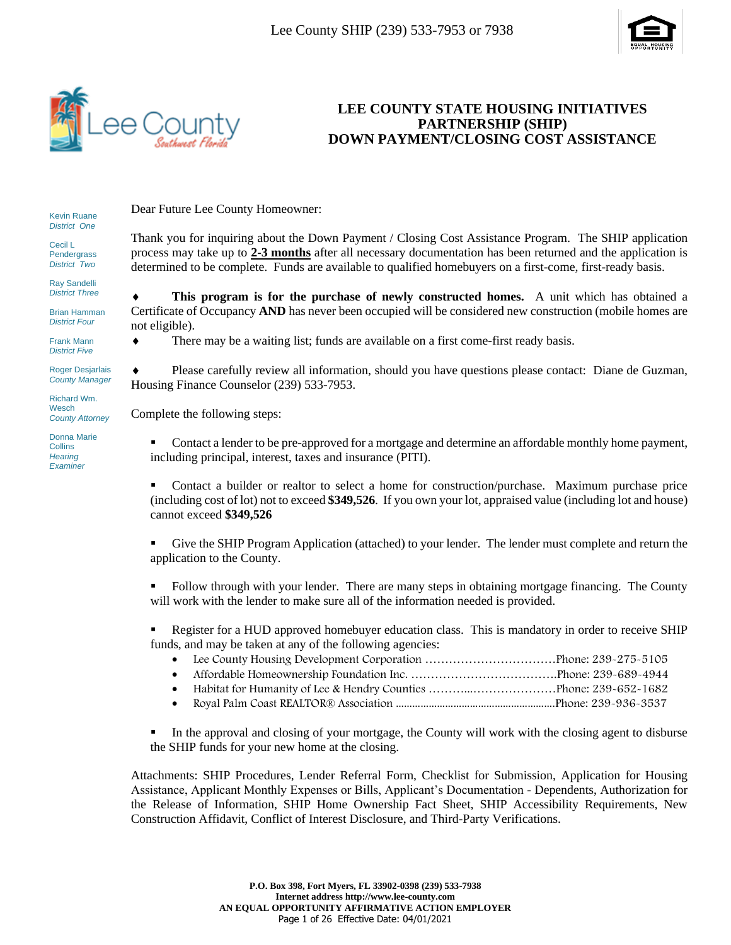



### **LEE COUNTY STATE HOUSING INITIATIVES PARTNERSHIP (SHIP) DOWN PAYMENT/CLOSING COST ASSISTANCE**

Kevin Ruane *District One*

Cecil L Pendergrass *District Two*

Ray Sandelli *District Three*

Brian Hamman *District Four*

Frank Mann *District Five*

Roger Desjarlais *County Manager*

Richard Wm. **Wesch** *County Attorney*

Donna Marie **Collins** *Hearing Examiner*

Dear Future Lee County Homeowner:

Thank you for inquiring about the Down Payment / Closing Cost Assistance Program. The SHIP application process may take up to **2-3 months** after all necessary documentation has been returned and the application is determined to be complete. Funds are available to qualified homebuyers on a first-come, first-ready basis.

 **This program is for the purchase of newly constructed homes.** A unit which has obtained a Certificate of Occupancy **AND** has never been occupied will be considered new construction (mobile homes are not eligible).

There may be a waiting list; funds are available on a first come-first ready basis.

 Please carefully review all information, should you have questions please contact: Diane de Guzman, Housing Finance Counselor (239) 533-7953.

Complete the following steps:

**•** Contact a lender to be pre-approved for a mortgage and determine an affordable monthly home payment, including principal, interest, taxes and insurance (PITI).

**•** Contact a builder or realtor to select a home for construction/purchase. Maximum purchase price (including cost of lot) not to exceed **\$349,526**. If you own your lot, appraised value (including lot and house) cannot exceed **\$349,526**

▪ Give the SHIP Program Application (attached) to your lender. The lender must complete and return the application to the County.

Follow through with your lender. There are many steps in obtaining mortgage financing. The County will work with the lender to make sure all of the information needed is provided.

Register for a HUD approved homebuyer education class. This is mandatory in order to receive SHIP funds, and may be taken at any of the following agencies:

- Lee County Housing Development Corporation ……………………………Phone: 239-275-5105
- Affordable Homeownership Foundation Inc. ……………………………….Phone: 239-689-4944
- Habitat for Humanity of Lee & Hendry Counties ………...…………………Phone: 239-652-1682
- Royal Palm Coast REALTOR® Association ………………………………………………….Phone: 239-936-3537

In the approval and closing of your mortgage, the County will work with the closing agent to disburse the SHIP funds for your new home at the closing.

Attachments: SHIP Procedures, Lender Referral Form, Checklist for Submission, Application for Housing Assistance, Applicant Monthly Expenses or Bills, Applicant's Documentation - Dependents, Authorization for the Release of Information, SHIP Home Ownership Fact Sheet, SHIP Accessibility Requirements, New Construction Affidavit, Conflict of Interest Disclosure, and Third-Party Verifications.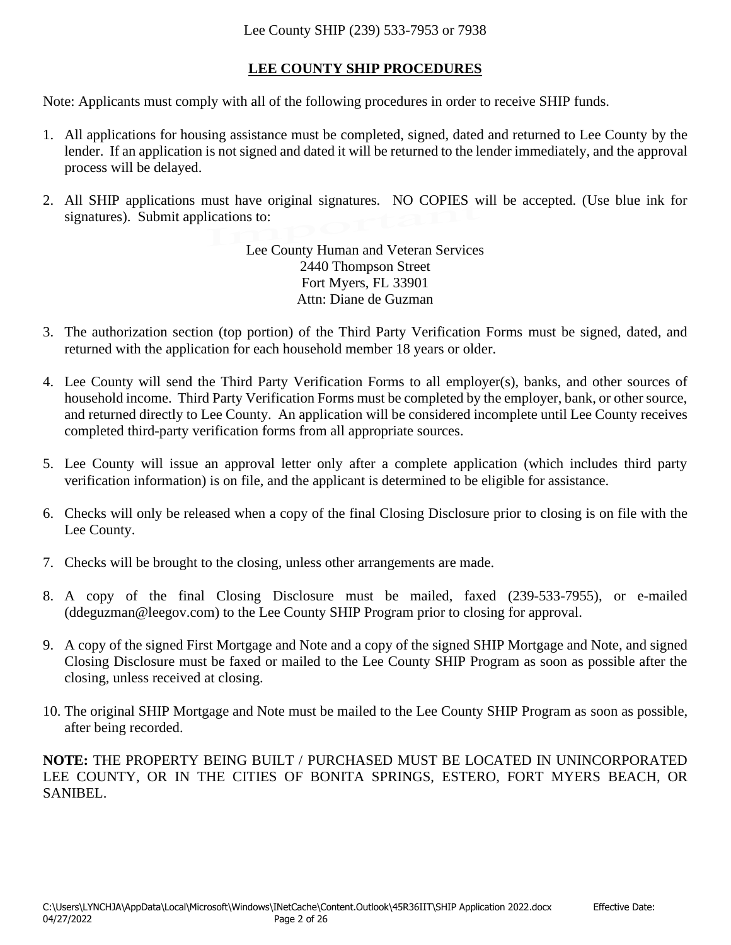# **LEE COUNTY SHIP PROCEDURES**

Note: Applicants must comply with all of the following procedures in order to receive SHIP funds.

- 1. All applications for housing assistance must be completed, signed, dated and returned to Lee County by the lender. If an application is not signed and dated it will be returned to the lender immediately, and the approval process will be delayed.
- 2. All SHIP applications must have original signatures. NO COPIES will be accepted. (Use blue ink for signatures). Submit applications to:

Lee County Human and Veteran Services 2440 Thompson Street Fort Myers, FL 33901 Attn: Diane de Guzman

- 3. The authorization section (top portion) of the Third Party Verification Forms must be signed, dated, and returned with the application for each household member 18 years or older.
- 4. Lee County will send the Third Party Verification Forms to all employer(s), banks, and other sources of household income. Third Party Verification Forms must be completed by the employer, bank, or other source, and returned directly to Lee County. An application will be considered incomplete until Lee County receives completed third-party verification forms from all appropriate sources.
- 5. Lee County will issue an approval letter only after a complete application (which includes third party verification information) is on file, and the applicant is determined to be eligible for assistance.
- 6. Checks will only be released when a copy of the final Closing Disclosure prior to closing is on file with the Lee County.
- 7. Checks will be brought to the closing, unless other arrangements are made.
- 8. A copy of the final Closing Disclosure must be mailed, faxed (239-533-7955), or e-mailed (ddeguzman@leegov.com) to the Lee County SHIP Program prior to closing for approval.
- 9. A copy of the signed First Mortgage and Note and a copy of the signed SHIP Mortgage and Note, and signed Closing Disclosure must be faxed or mailed to the Lee County SHIP Program as soon as possible after the closing, unless received at closing.
- 10. The original SHIP Mortgage and Note must be mailed to the Lee County SHIP Program as soon as possible, after being recorded.

**NOTE:** THE PROPERTY BEING BUILT / PURCHASED MUST BE LOCATED IN UNINCORPORATED LEE COUNTY, OR IN THE CITIES OF BONITA SPRINGS, ESTERO, FORT MYERS BEACH, OR SANIBEL.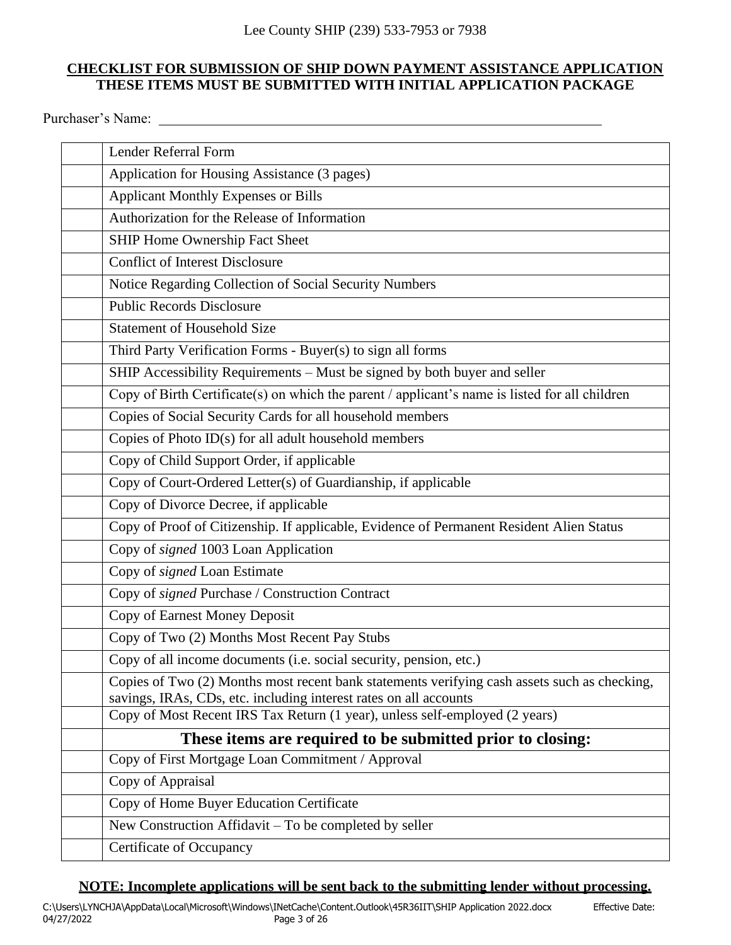### **CHECKLIST FOR SUBMISSION OF SHIP DOWN PAYMENT ASSISTANCE APPLICATION THESE ITEMS MUST BE SUBMITTED WITH INITIAL APPLICATION PACKAGE**

Purchaser's Name:

| Lender Referral Form                                                                                                                                              |
|-------------------------------------------------------------------------------------------------------------------------------------------------------------------|
| Application for Housing Assistance (3 pages)                                                                                                                      |
| <b>Applicant Monthly Expenses or Bills</b>                                                                                                                        |
| Authorization for the Release of Information                                                                                                                      |
| SHIP Home Ownership Fact Sheet                                                                                                                                    |
| <b>Conflict of Interest Disclosure</b>                                                                                                                            |
| Notice Regarding Collection of Social Security Numbers                                                                                                            |
| <b>Public Records Disclosure</b>                                                                                                                                  |
| <b>Statement of Household Size</b>                                                                                                                                |
| Third Party Verification Forms - Buyer(s) to sign all forms                                                                                                       |
| SHIP Accessibility Requirements - Must be signed by both buyer and seller                                                                                         |
| Copy of Birth Certificate(s) on which the parent / applicant's name is listed for all children                                                                    |
| Copies of Social Security Cards for all household members                                                                                                         |
| Copies of Photo ID(s) for all adult household members                                                                                                             |
| Copy of Child Support Order, if applicable                                                                                                                        |
| Copy of Court-Ordered Letter(s) of Guardianship, if applicable                                                                                                    |
| Copy of Divorce Decree, if applicable                                                                                                                             |
| Copy of Proof of Citizenship. If applicable, Evidence of Permanent Resident Alien Status                                                                          |
| Copy of signed 1003 Loan Application                                                                                                                              |
| Copy of signed Loan Estimate                                                                                                                                      |
| Copy of signed Purchase / Construction Contract                                                                                                                   |
| Copy of Earnest Money Deposit                                                                                                                                     |
| Copy of Two (2) Months Most Recent Pay Stubs                                                                                                                      |
| Copy of all income documents (i.e. social security, pension, etc.)                                                                                                |
| Copies of Two (2) Months most recent bank statements verifying cash assets such as checking,<br>savings, IRAs, CDs, etc. including interest rates on all accounts |
| Copy of Most Recent IRS Tax Return (1 year), unless self-employed (2 years)                                                                                       |
| These items are required to be submitted prior to closing:                                                                                                        |
| Copy of First Mortgage Loan Commitment / Approval                                                                                                                 |
| Copy of Appraisal                                                                                                                                                 |
| Copy of Home Buyer Education Certificate                                                                                                                          |
| New Construction Affidavit – To be completed by seller                                                                                                            |
| Certificate of Occupancy                                                                                                                                          |

### **NOTE: Incomplete applications will be sent back to the submitting lender without processing.**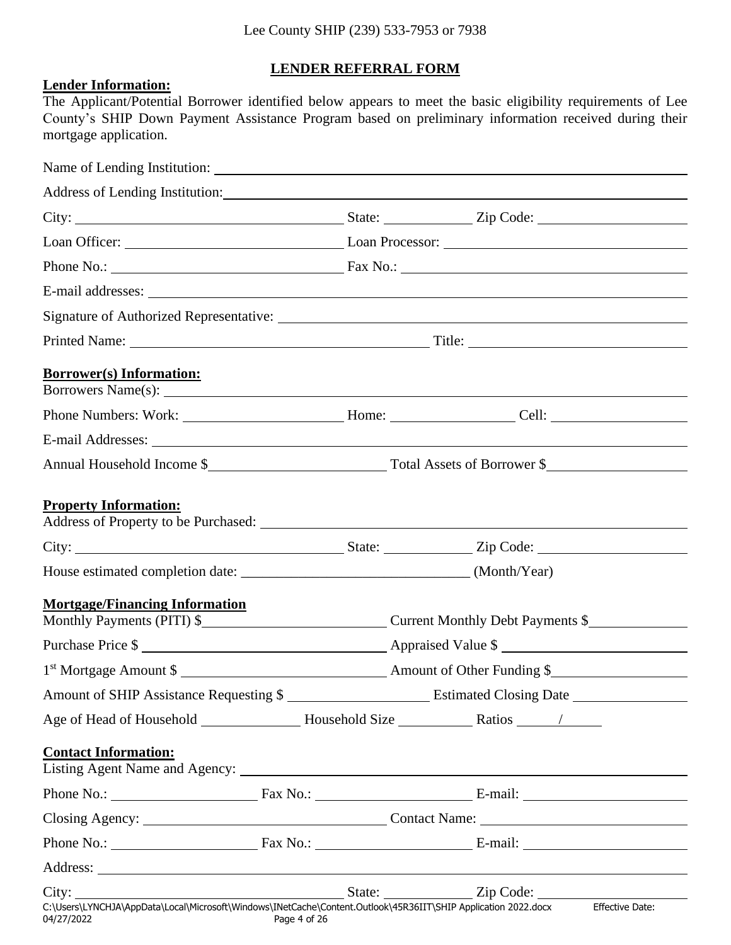# **LENDER REFERRAL FORM**

### **Lender Information:**

The Applicant/Potential Borrower identified below appears to meet the basic eligibility requirements of Lee County's SHIP Down Payment Assistance Program based on preliminary information received during their mortgage application.

| <b>Borrower(s)</b> Information:                                                                                                                                                                                                                               |              |                                  |
|---------------------------------------------------------------------------------------------------------------------------------------------------------------------------------------------------------------------------------------------------------------|--------------|----------------------------------|
|                                                                                                                                                                                                                                                               |              |                                  |
| E-mail Addresses: <u>example and the set of the set of the set of the set of the set of the set of the set of the set of the set of the set of the set of the set of the set of the set of the set of the set of the set of the </u>                          |              |                                  |
|                                                                                                                                                                                                                                                               |              |                                  |
| <b>Property Information:</b>                                                                                                                                                                                                                                  |              |                                  |
|                                                                                                                                                                                                                                                               |              |                                  |
|                                                                                                                                                                                                                                                               |              |                                  |
| <b>Mortgage/Financing Information</b><br>Monthly Payments (PITI) \$                                                                                                                                                                                           |              | Current Monthly Debt Payments \$ |
| Purchase Price \$                                                                                                                                                                                                                                             |              |                                  |
| 1 <sup>st</sup> Mortgage Amount \$                                                                                                                                                                                                                            |              |                                  |
| Amount of SHIP Assistance Requesting \$                                                                                                                                                                                                                       |              |                                  |
|                                                                                                                                                                                                                                                               |              |                                  |
| <b>Contact Information:</b><br>Listing Agent Name and Agency: 1997. The Contract of the Agency of the Agency of the Agency of the Agency of the Agency of the Agency of the Agency of the Agency of the Agency of the Agency of the Agency of the Agency of t |              |                                  |
|                                                                                                                                                                                                                                                               |              |                                  |
|                                                                                                                                                                                                                                                               |              |                                  |
|                                                                                                                                                                                                                                                               |              |                                  |
|                                                                                                                                                                                                                                                               |              |                                  |
|                                                                                                                                                                                                                                                               |              |                                  |
| C:\Users\LYNCHJA\AppData\Local\Microsoft\Windows\INetCache\Content.Outlook\45R36IIT\SHIP Application 2022.docx Effective Date:<br>04/27/2022                                                                                                                  | Page 4 of 26 |                                  |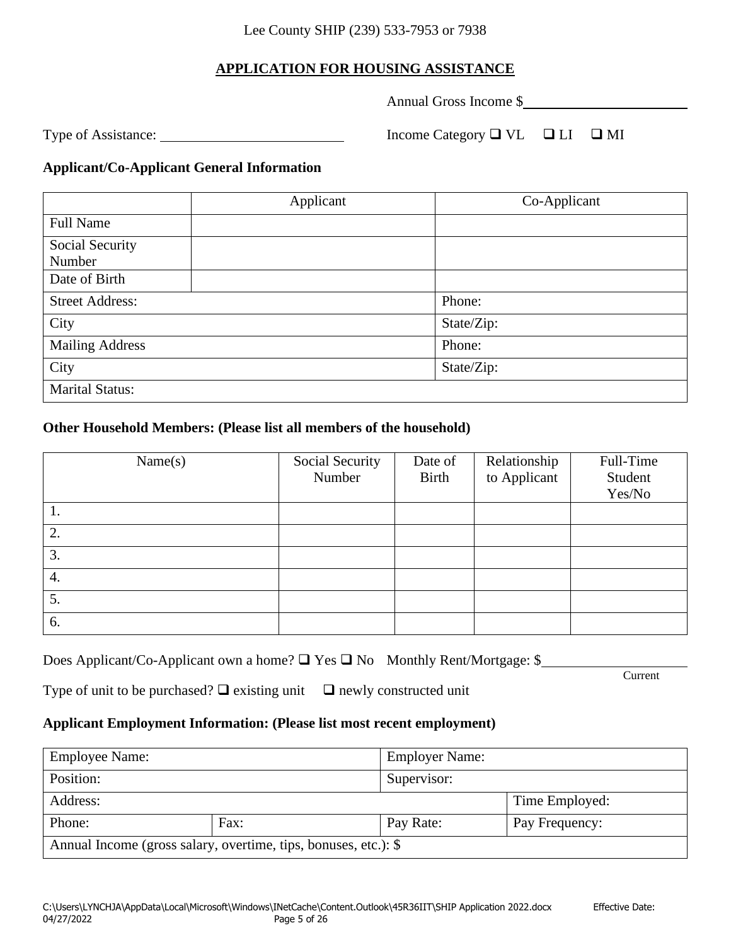# **APPLICATION FOR HOUSING ASSISTANCE**

Annual Gross Income \$

Type of Assistance: <u>Income Category </u> Income Category  $\Box$  VL  $\Box$  LI  $\Box$  MI

### **Applicant/Co-Applicant General Information**

|                        | Applicant | Co-Applicant |
|------------------------|-----------|--------------|
| <b>Full Name</b>       |           |              |
| Social Security        |           |              |
| Number                 |           |              |
| Date of Birth          |           |              |
| <b>Street Address:</b> |           | Phone:       |
| City                   |           | State/Zip:   |
| <b>Mailing Address</b> |           | Phone:       |
| City                   |           | State/Zip:   |
| <b>Marital Status:</b> |           |              |

### **Other Household Members: (Please list all members of the household)**

| Name(s) | Social Security<br>Number | Date of<br><b>Birth</b> | Relationship<br>to Applicant | Full-Time<br>Student<br>Yes/No |
|---------|---------------------------|-------------------------|------------------------------|--------------------------------|
| 1.      |                           |                         |                              |                                |
| 2.      |                           |                         |                              |                                |
| 3.      |                           |                         |                              |                                |
| 4.      |                           |                         |                              |                                |
| 5.      |                           |                         |                              |                                |
| 6.      |                           |                         |                              |                                |

| Does Applicant/Co-Applicant own a home? □ Yes □ No Monthly Rent/Mortgage: \$ |  |
|------------------------------------------------------------------------------|--|
|                                                                              |  |

Current

Type of unit to be purchased?  $\Box$  existing unit  $\Box$  newly constructed unit

### **Applicant Employment Information: (Please list most recent employment)**

| <b>Employee Name:</b> |                                                                 | <b>Employer Name:</b> |                |
|-----------------------|-----------------------------------------------------------------|-----------------------|----------------|
| Position:             |                                                                 | Supervisor:           |                |
| Address:              |                                                                 |                       | Time Employed: |
| Phone:                | Fax:                                                            | Pay Rate:             | Pay Frequency: |
|                       | Annual Income (gross salary, overtime, tips, bonuses, etc.): \$ |                       |                |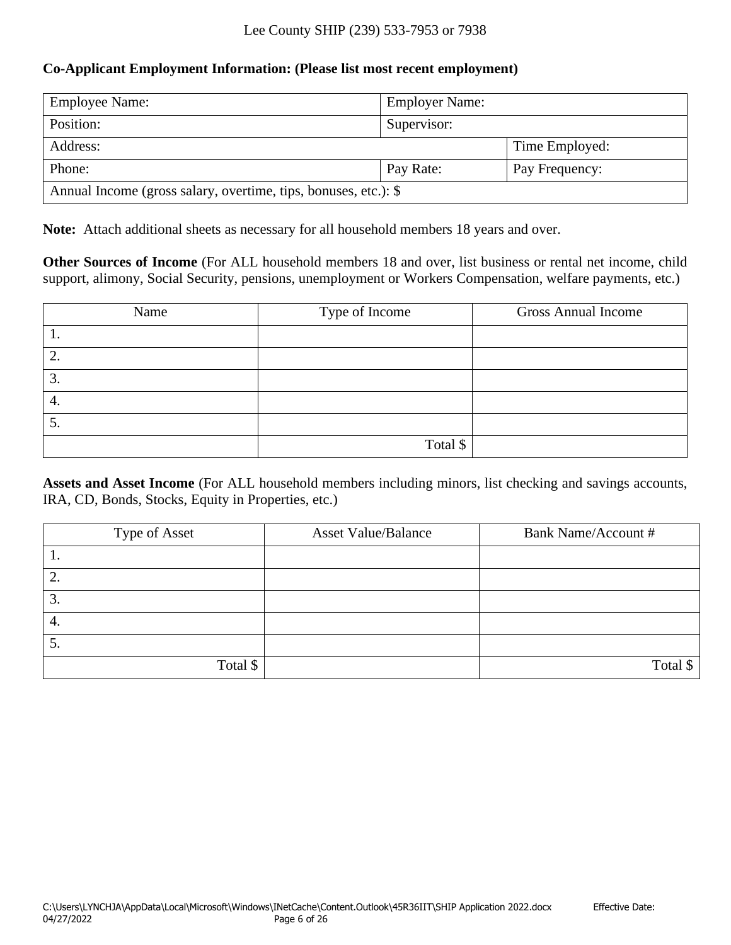### **Co-Applicant Employment Information: (Please list most recent employment)**

| <b>Employee Name:</b>                                           | <b>Employer Name:</b> |                |  |
|-----------------------------------------------------------------|-----------------------|----------------|--|
| Position:                                                       | Supervisor:           |                |  |
| Address:                                                        |                       | Time Employed: |  |
| Phone:                                                          | Pay Rate:             | Pay Frequency: |  |
| Annual Income (gross salary, overtime, tips, bonuses, etc.): \$ |                       |                |  |

**Note:** Attach additional sheets as necessary for all household members 18 years and over.

**Other Sources of Income** (For ALL household members 18 and over, list business or rental net income, child support, alimony, Social Security, pensions, unemployment or Workers Compensation, welfare payments, etc.)

| Name | Type of Income | <b>Gross Annual Income</b> |
|------|----------------|----------------------------|
| . .  |                |                            |
| 2.   |                |                            |
| 3.   |                |                            |
| 4.   |                |                            |
| C.   |                |                            |
|      | Total \$       |                            |

**Assets and Asset Income** (For ALL household members including minors, list checking and savings accounts, IRA, CD, Bonds, Stocks, Equity in Properties, etc.)

| Type of Asset | <b>Asset Value/Balance</b> | <b>Bank Name/Account #</b> |
|---------------|----------------------------|----------------------------|
| . .           |                            |                            |
| ∠.            |                            |                            |
| 3.            |                            |                            |
| 4.            |                            |                            |
| 5.            |                            |                            |
| Total \$      |                            | Total \$                   |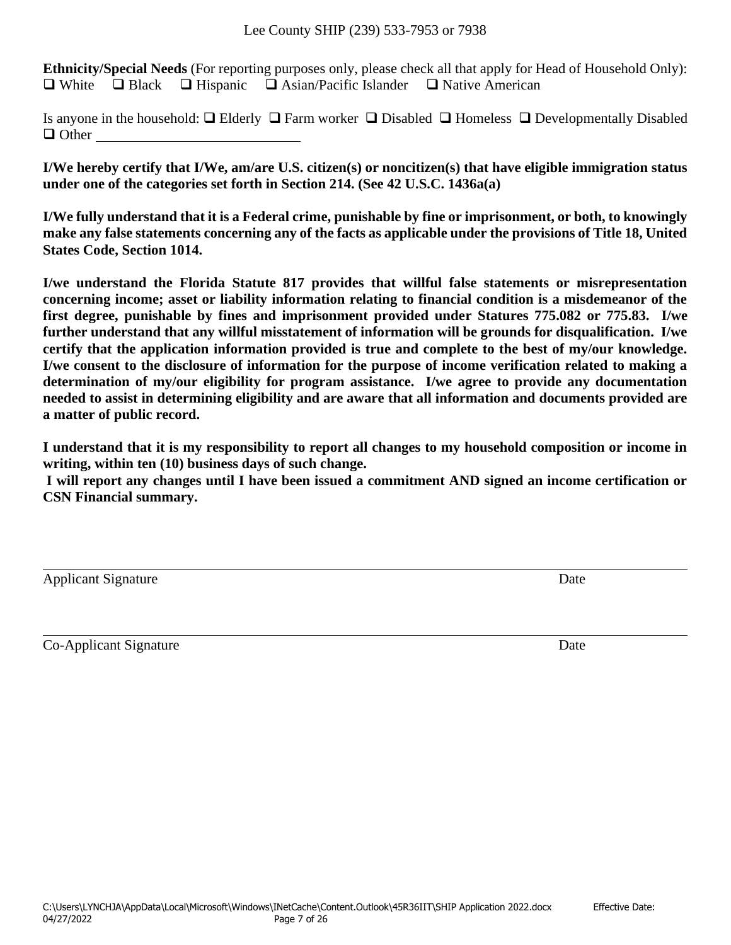**Ethnicity/Special Needs** (For reporting purposes only, please check all that apply for Head of Household Only): ❑ White ❑ Black ❑ Hispanic ❑ Asian/Pacific Islander ❑ Native American

Is anyone in the household: ❑ Elderly ❑ Farm worker ❑ Disabled ❑ Homeless ❑ Developmentally Disabled ❑ Other

**I/We hereby certify that I/We, am/are U.S. citizen(s) or noncitizen(s) that have eligible immigration status under one of the categories set forth in Section 214. (See 42 U.S.C. 1436a(a)**

**I/We fully understand that it is a Federal crime, punishable by fine or imprisonment, or both, to knowingly make any false statements concerning any of the facts as applicable under the provisions of Title 18, United States Code, Section 1014.**

**I/we understand the Florida Statute 817 provides that willful false statements or misrepresentation concerning income; asset or liability information relating to financial condition is a misdemeanor of the first degree, punishable by fines and imprisonment provided under Statures 775.082 or 775.83. I/we further understand that any willful misstatement of information will be grounds for disqualification. I/we certify that the application information provided is true and complete to the best of my/our knowledge. I/we consent to the disclosure of information for the purpose of income verification related to making a determination of my/our eligibility for program assistance. I/we agree to provide any documentation needed to assist in determining eligibility and are aware that all information and documents provided are a matter of public record.**

**I understand that it is my responsibility to report all changes to my household composition or income in writing, within ten (10) business days of such change.** 

**I will report any changes until I have been issued a commitment AND signed an income certification or CSN Financial summary.**

| <b>Applicant Signature</b> | Date |
|----------------------------|------|
|                            |      |

Co-Applicant Signature Date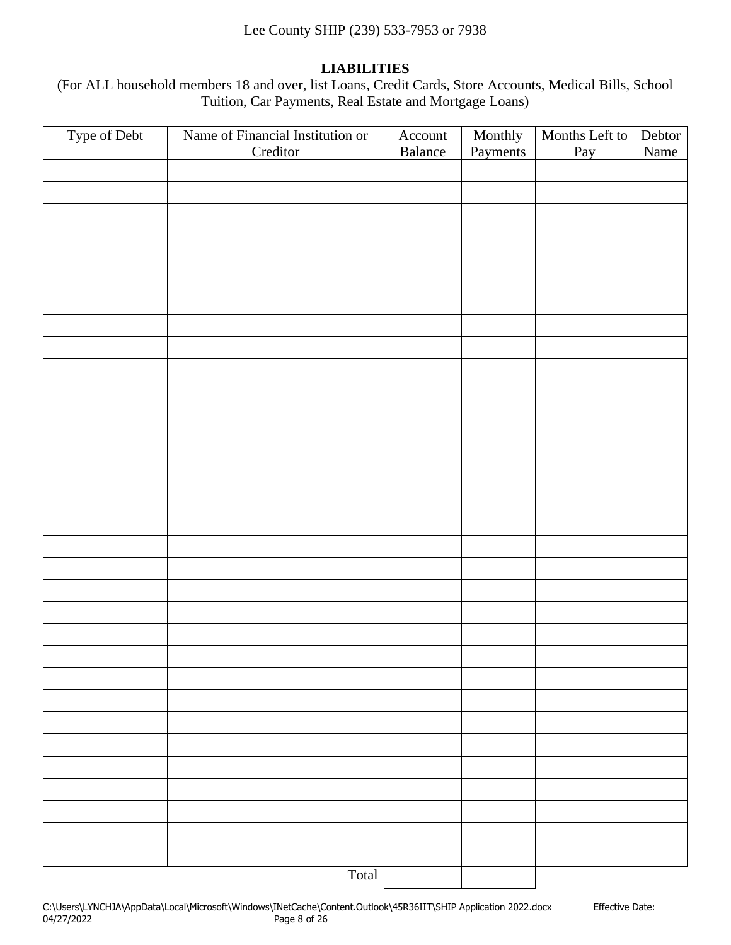### **LIABILITIES**

(For ALL household members 18 and over, list Loans, Credit Cards, Store Accounts, Medical Bills, School Tuition, Car Payments, Real Estate and Mortgage Loans)

| Type of Debt | Name of Financial Institution or<br>Creditor | Account<br>Balance | Monthly<br>Payments | Months Left to<br>Pay | Debtor<br>Name |
|--------------|----------------------------------------------|--------------------|---------------------|-----------------------|----------------|
|              |                                              |                    |                     |                       |                |
|              |                                              |                    |                     |                       |                |
|              |                                              |                    |                     |                       |                |
|              |                                              |                    |                     |                       |                |
|              |                                              |                    |                     |                       |                |
|              |                                              |                    |                     |                       |                |
|              |                                              |                    |                     |                       |                |
|              |                                              |                    |                     |                       |                |
|              |                                              |                    |                     |                       |                |
|              |                                              |                    |                     |                       |                |
|              |                                              |                    |                     |                       |                |
|              |                                              |                    |                     |                       |                |
|              |                                              |                    |                     |                       |                |
|              |                                              |                    |                     |                       |                |
|              |                                              |                    |                     |                       |                |
|              |                                              |                    |                     |                       |                |
|              |                                              |                    |                     |                       |                |
|              |                                              |                    |                     |                       |                |
|              |                                              |                    |                     |                       |                |
|              |                                              |                    |                     |                       |                |
|              |                                              |                    |                     |                       |                |
|              |                                              |                    |                     |                       |                |
|              |                                              |                    |                     |                       |                |
|              |                                              |                    |                     |                       |                |
|              |                                              |                    |                     |                       |                |
|              |                                              |                    |                     |                       |                |
|              |                                              |                    |                     |                       |                |
|              |                                              |                    |                     |                       |                |
|              |                                              |                    |                     |                       |                |
|              |                                              |                    |                     |                       |                |
|              |                                              |                    |                     |                       |                |
|              |                                              |                    |                     |                       |                |
|              | Total                                        |                    |                     |                       |                |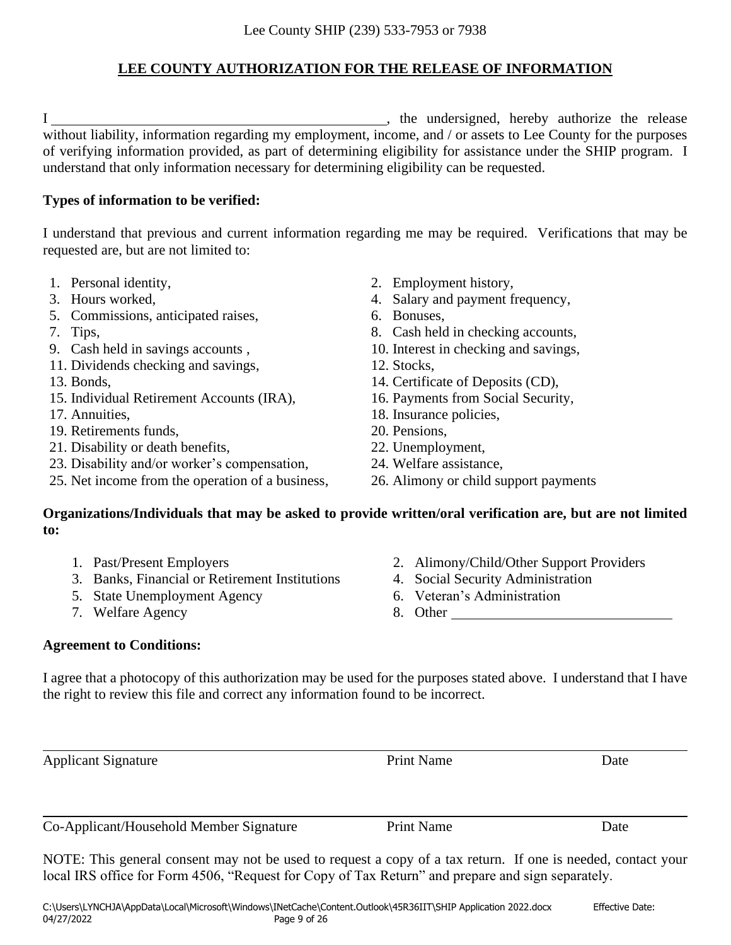# **LEE COUNTY AUTHORIZATION FOR THE RELEASE OF INFORMATION**

I hereby authorize the release state of the undersigned, hereby authorize the release without liability, information regarding my employment, income, and / or assets to Lee County for the purposes of verifying information provided, as part of determining eligibility for assistance under the SHIP program. I understand that only information necessary for determining eligibility can be requested.

### **Types of information to be verified:**

I understand that previous and current information regarding me may be required. Verifications that may be requested are, but are not limited to:

- 
- 
- 5. Commissions, anticipated raises, 6. Bonuses,
- 
- 
- 11. Dividends checking and savings, 12. Stocks,
- 
- 15. Individual Retirement Accounts (IRA), 16. Payments from Social Security,
- 
- 19. Retirements funds, 20. Pensions,
- 21. Disability or death benefits, 22. Unemployment,
- 23. Disability and/or worker's compensation, 24. Welfare assistance,
- 25. Net income from the operation of a business, 26. Alimony or child support payments
- 1. Personal identity, 2. Employment history,
- 3. Hours worked, 4. Salary and payment frequency,
	-
- 7. Tips,  $\frac{8}{2}$  and  $\frac{8}{2}$  and  $\frac{8}{2}$  and  $\frac{8}{2}$  and  $\frac{8}{2}$  and  $\frac{8}{2}$  and  $\frac{8}{2}$  and  $\frac{8}{2}$  and  $\frac{8}{2}$  and  $\frac{8}{2}$  and  $\frac{8}{2}$  and  $\frac{8}{2}$  and  $\frac{8}{2}$  and  $\frac{8}{2}$  and  $\frac{8}{2}$  and  $\frac$
- 9. Cash held in savings accounts , 10. Interest in checking and savings,
	-
- 13. Bonds, 14. Certificate of Deposits (CD),
	-
- 17. Annuities, 18. Insurance policies,
	-
	-
	-
	-

### **Organizations/Individuals that may be asked to provide written/oral verification are, but are not limited to:**

- 
- 1. Past/Present Employers 2. Alimony/Child/Other Support Providers<br>
3. Banks, Financial or Retirement Institutions 4. Social Security Administration 3. Banks, Financial or Retirement Institutions
- 5. State Unemployment Agency 6. Veteran's Administration
- 7. Welfare Agency 8. Other
- 
- 
- -

### **Agreement to Conditions:**

I agree that a photocopy of this authorization may be used for the purposes stated above. I understand that I have the right to review this file and correct any information found to be incorrect.

Applicant Signature Date **Print Name** Date Co-Applicant/Household Member Signature Print Name Date

NOTE: This general consent may not be used to request a copy of a tax return. If one is needed, contact your local IRS office for Form 4506, "Request for Copy of Tax Return" and prepare and sign separately.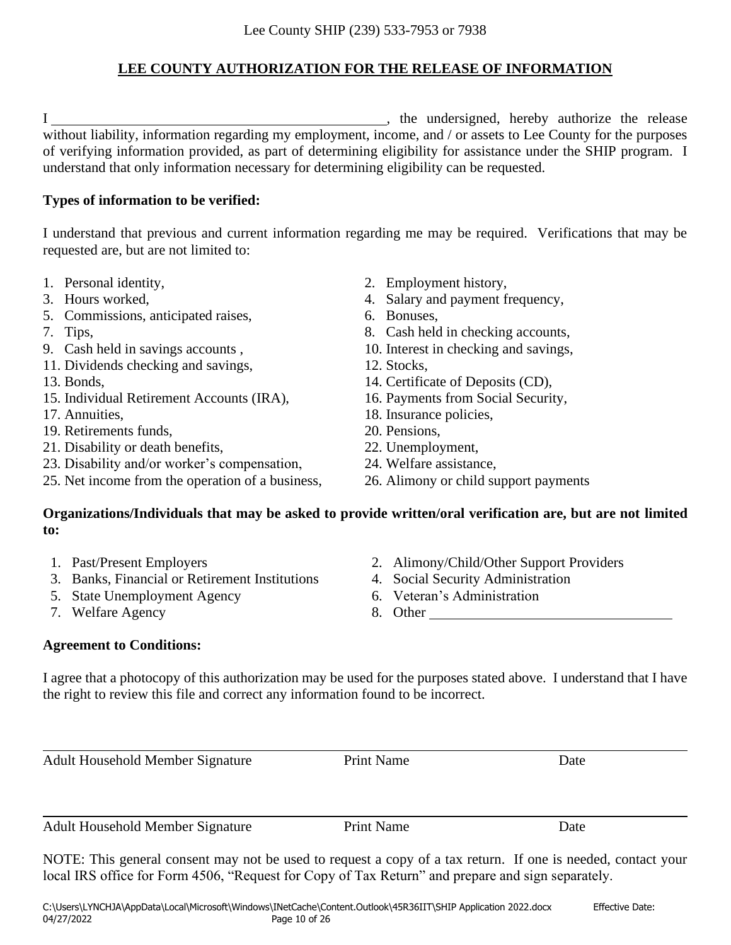# **LEE COUNTY AUTHORIZATION FOR THE RELEASE OF INFORMATION**

I hereby authorize the release in the undersigned, hereby authorize the release without liability, information regarding my employment, income, and / or assets to Lee County for the purposes of verifying information provided, as part of determining eligibility for assistance under the SHIP program. I understand that only information necessary for determining eligibility can be requested.

### **Types of information to be verified:**

I understand that previous and current information regarding me may be required. Verifications that may be requested are, but are not limited to:

- 
- 
- 5. Commissions, anticipated raises, 6. Bonuses,
- 
- 
- 11. Dividends checking and savings, 12. Stocks,
- 
- 15. Individual Retirement Accounts (IRA), 16. Payments from Social Security,
- 
- 19. Retirements funds, 20. Pensions,
- 21. Disability or death benefits, 22. Unemployment,
- 23. Disability and/or worker's compensation, 24. Welfare assistance,
- 25. Net income from the operation of a business, 26. Alimony or child support payments
- 1. Personal identity, 2. Employment history,
- 3. Hours worked, 4. Salary and payment frequency,
	-
- 7. Tips, 8. Cash held in checking accounts,
- 9. Cash held in savings accounts , 10. Interest in checking and savings,
	-
- 13. Bonds, 14. Certificate of Deposits (CD),
	-
- 17. Annuities, 18. Insurance policies,
	-
	-
	-
	-

### **Organizations/Individuals that may be asked to provide written/oral verification are, but are not limited to:**

- 
- 3. Banks, Financial or Retirement Institutions 4. Social Security Administration
- 5. State Unemployment Agency 6. Veteran's Administration
- 7. Welfare Agency 8. Other
- **Agreement to Conditions:**
- 1. Past/Present Employers 2. Alimony/Child/Other Support Providers
	-
	-
	-

I agree that a photocopy of this authorization may be used for the purposes stated above. I understand that I have the right to review this file and correct any information found to be incorrect.

Adult Household Member Signature Print Name Date

Adult Household Member Signature Print Name Date

NOTE: This general consent may not be used to request a copy of a tax return. If one is needed, contact your local IRS office for Form 4506, "Request for Copy of Tax Return" and prepare and sign separately.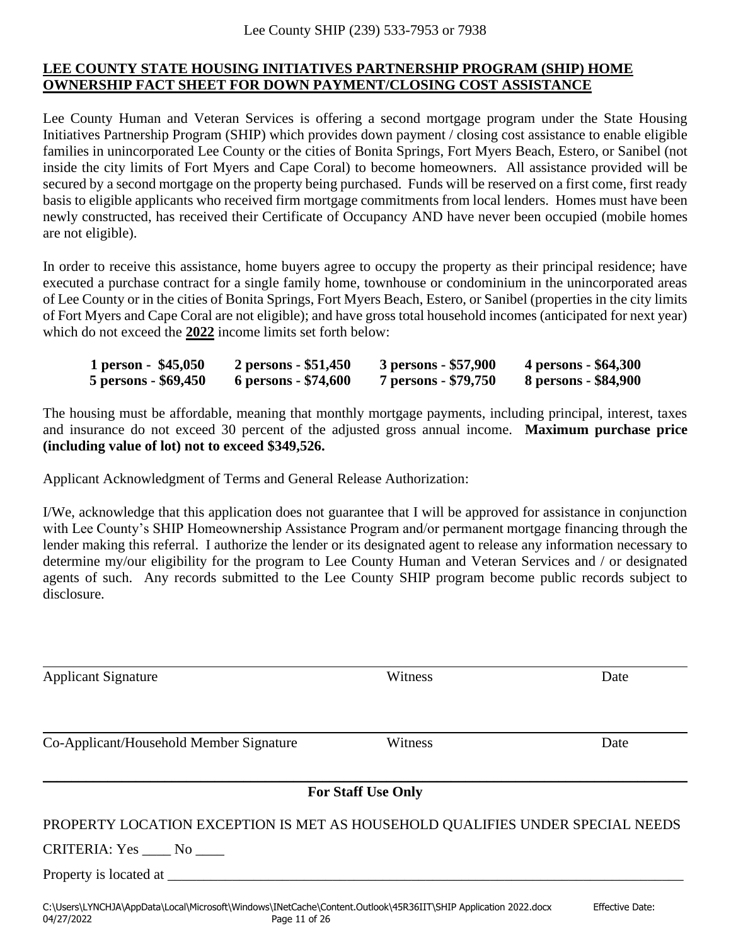### **LEE COUNTY STATE HOUSING INITIATIVES PARTNERSHIP PROGRAM (SHIP) HOME OWNERSHIP FACT SHEET FOR DOWN PAYMENT/CLOSING COST ASSISTANCE**

Lee County Human and Veteran Services is offering a second mortgage program under the State Housing Initiatives Partnership Program (SHIP) which provides down payment / closing cost assistance to enable eligible families in unincorporated Lee County or the cities of Bonita Springs, Fort Myers Beach, Estero, or Sanibel (not inside the city limits of Fort Myers and Cape Coral) to become homeowners. All assistance provided will be secured by a second mortgage on the property being purchased. Funds will be reserved on a first come, first ready basis to eligible applicants who received firm mortgage commitments from local lenders. Homes must have been newly constructed, has received their Certificate of Occupancy AND have never been occupied (mobile homes are not eligible).

In order to receive this assistance, home buyers agree to occupy the property as their principal residence; have executed a purchase contract for a single family home, townhouse or condominium in the unincorporated areas of Lee County or in the cities of Bonita Springs, Fort Myers Beach, Estero, or Sanibel (properties in the city limits of Fort Myers and Cape Coral are not eligible); and have gross total household incomes (anticipated for next year) which do not exceed the **2022** income limits set forth below:

**1 person - \$45,050 2 persons - \$51,450 3 persons - \$57,900 4 persons - \$64,300 5 persons - \$69,450 6 persons - \$74,600 7 persons - \$79,750 8 persons - \$84,900**

The housing must be affordable, meaning that monthly mortgage payments, including principal, interest, taxes and insurance do not exceed 30 percent of the adjusted gross annual income. **Maximum purchase price (including value of lot) not to exceed \$349,526.**

Applicant Acknowledgment of Terms and General Release Authorization:

I/We, acknowledge that this application does not guarantee that I will be approved for assistance in conjunction with Lee County's SHIP Homeownership Assistance Program and/or permanent mortgage financing through the lender making this referral. I authorize the lender or its designated agent to release any information necessary to determine my/our eligibility for the program to Lee County Human and Veteran Services and / or designated agents of such. Any records submitted to the Lee County SHIP program become public records subject to disclosure.

| <b>Applicant Signature</b>                                                                                                                    | Witness                   | Date                   |  |
|-----------------------------------------------------------------------------------------------------------------------------------------------|---------------------------|------------------------|--|
|                                                                                                                                               |                           |                        |  |
| Co-Applicant/Household Member Signature                                                                                                       | Witness                   | Date                   |  |
|                                                                                                                                               | <b>For Staff Use Only</b> |                        |  |
| PROPERTY LOCATION EXCEPTION IS MET AS HOUSEHOLD QUALIFIES UNDER SPECIAL NEEDS                                                                 |                           |                        |  |
| CRITERIA: Yes No                                                                                                                              |                           |                        |  |
| Property is located at                                                                                                                        |                           |                        |  |
| C:\Users\LYNCHJA\AppData\Local\Microsoft\Windows\INetCache\Content.Outlook\45R36IIT\SHIP Application 2022.docx<br>Page 11 of 26<br>04/27/2022 |                           | <b>Effective Date:</b> |  |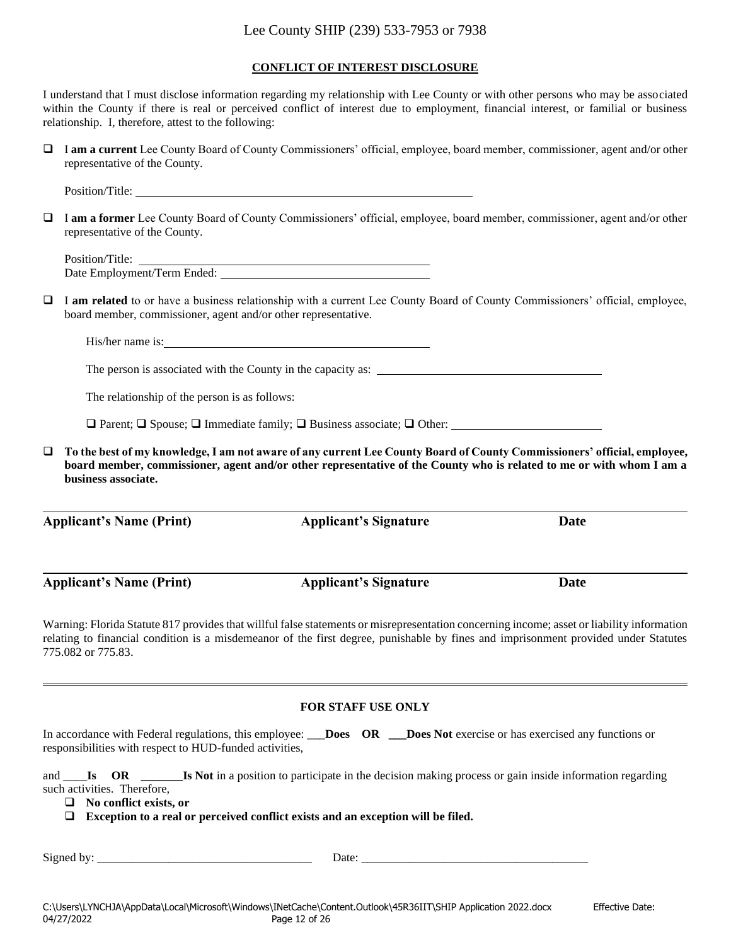#### **CONFLICT OF INTEREST DISCLOSURE**

I understand that I must disclose information regarding my relationship with Lee County or with other persons who may be associated within the County if there is real or perceived conflict of interest due to employment, financial interest, or familial or business relationship. I, therefore, attest to the following:

❑ I **am a current** Lee County Board of County Commissioners' official, employee, board member, commissioner, agent and/or other representative of the County.

Position/Title:

❑ I **am a former** Lee County Board of County Commissioners' official, employee, board member, commissioner, agent and/or other representative of the County.

Position/Title: Date Employment/Term Ended:

❑ I **am related** to or have a business relationship with a current Lee County Board of County Commissioners' official, employee, board member, commissioner, agent and/or other representative.

His/her name is:

The person is associated with the County in the capacity as:

The relationship of the person is as follows:

❑ Parent; ❑ Spouse; ❑ Immediate family; ❑ Business associate; ❑ Other:

❑ **To the best of my knowledge, I am not aware of any current Lee County Board of County Commissioners' official, employee, board member, commissioner, agent and/or other representative of the County who is related to me or with whom I am a business associate.**

**Applicant's Name (Print) Applicant's Signature Date**

**Applicant's Name (Print) Applicant's Signature Date**

Warning: Florida Statute 817 provides that willful false statements or misrepresentation concerning income; asset or liability information relating to financial condition is a misdemeanor of the first degree, punishable by fines and imprisonment provided under Statutes 775.082 or 775.83.

#### **FOR STAFF USE ONLY**

| In accordance with Federal regulations, this employee: ___ <b>Does</b> OR |  | <b>Does Not</b> exercise or has exercised any functions or |
|---------------------------------------------------------------------------|--|------------------------------------------------------------|
| responsibilities with respect to HUD-funded activities,                   |  |                                                            |

and \_\_\_\_**Is OR \_\_\_\_\_\_\_Is Not** in a position to participate in the decision making process or gain inside information regarding such activities. Therefore,

❑ **No conflict exists, or**

❑ **Exception to a real or perceived conflict exists and an exception will be filed.**

Signed by: \_\_\_\_\_\_\_\_\_\_\_\_\_\_\_\_\_\_\_\_\_\_\_\_\_\_\_\_\_\_\_\_\_\_\_\_ Date: \_\_\_\_\_\_\_\_\_\_\_\_\_\_\_\_\_\_\_\_\_\_\_\_\_\_\_\_\_\_\_\_\_\_\_\_\_\_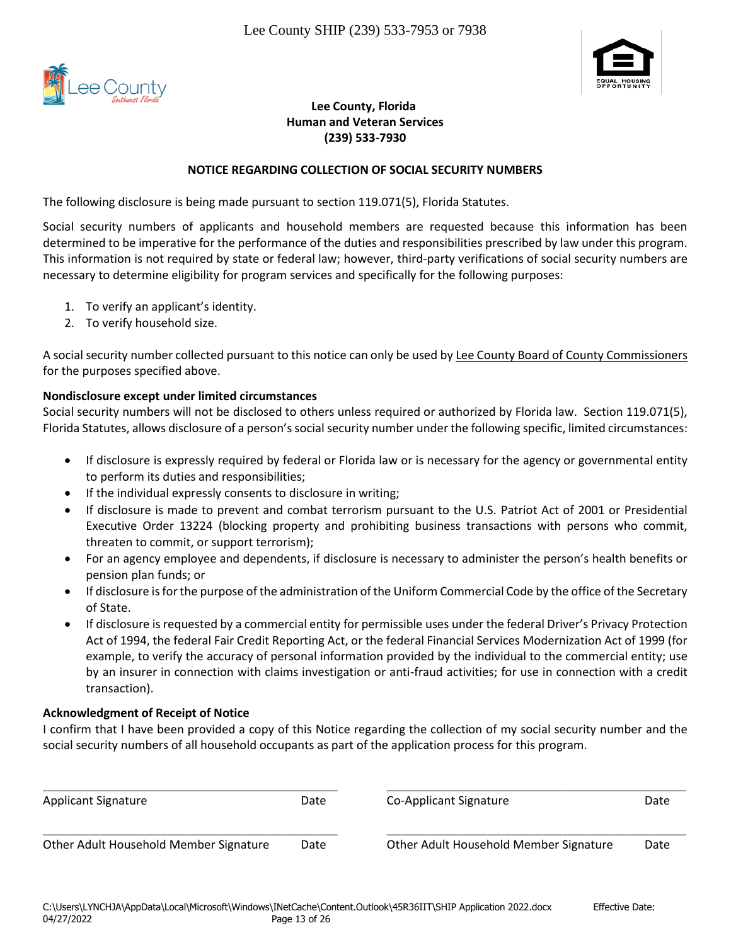



### **Lee County, Florida Human and Veteran Services (239) 533-7930**

### **NOTICE REGARDING COLLECTION OF SOCIAL SECURITY NUMBERS**

The following disclosure is being made pursuant to section 119.071(5), Florida Statutes.

Social security numbers of applicants and household members are requested because this information has been determined to be imperative for the performance of the duties and responsibilities prescribed by law under this program. This information is not required by state or federal law; however, third-party verifications of social security numbers are necessary to determine eligibility for program services and specifically for the following purposes:

- 1. To verify an applicant's identity.
- 2. To verify household size.

A social security number collected pursuant to this notice can only be used by Lee County Board of County Commissioners for the purposes specified above.

### **Nondisclosure except under limited circumstances**

Social security numbers will not be disclosed to others unless required or authorized by Florida law. Section 119.071(5), Florida Statutes, allows disclosure of a person's social security number under the following specific, limited circumstances:

- If disclosure is expressly required by federal or Florida law or is necessary for the agency or governmental entity to perform its duties and responsibilities;
- If the individual expressly consents to disclosure in writing;
- If disclosure is made to prevent and combat terrorism pursuant to the U.S. Patriot Act of 2001 or Presidential Executive Order 13224 (blocking property and prohibiting business transactions with persons who commit, threaten to commit, or support terrorism);
- For an agency employee and dependents, if disclosure is necessary to administer the person's health benefits or pension plan funds; or
- If disclosure is for the purpose of the administration of the Uniform Commercial Code by the office of the Secretary of State.
- If disclosure is requested by a commercial entity for permissible uses under the federal Driver's Privacy Protection Act of 1994, the federal Fair Credit Reporting Act, or the federal Financial Services Modernization Act of 1999 (for example, to verify the accuracy of personal information provided by the individual to the commercial entity; use by an insurer in connection with claims investigation or anti-fraud activities; for use in connection with a credit transaction).

### **Acknowledgment of Receipt of Notice**

I confirm that I have been provided a copy of this Notice regarding the collection of my social security number and the social security numbers of all household occupants as part of the application process for this program.

| <b>Applicant Signature</b>             | Date | Co-Applicant Signature                 | Date |
|----------------------------------------|------|----------------------------------------|------|
| Other Adult Household Member Signature | Date | Other Adult Household Member Signature | Date |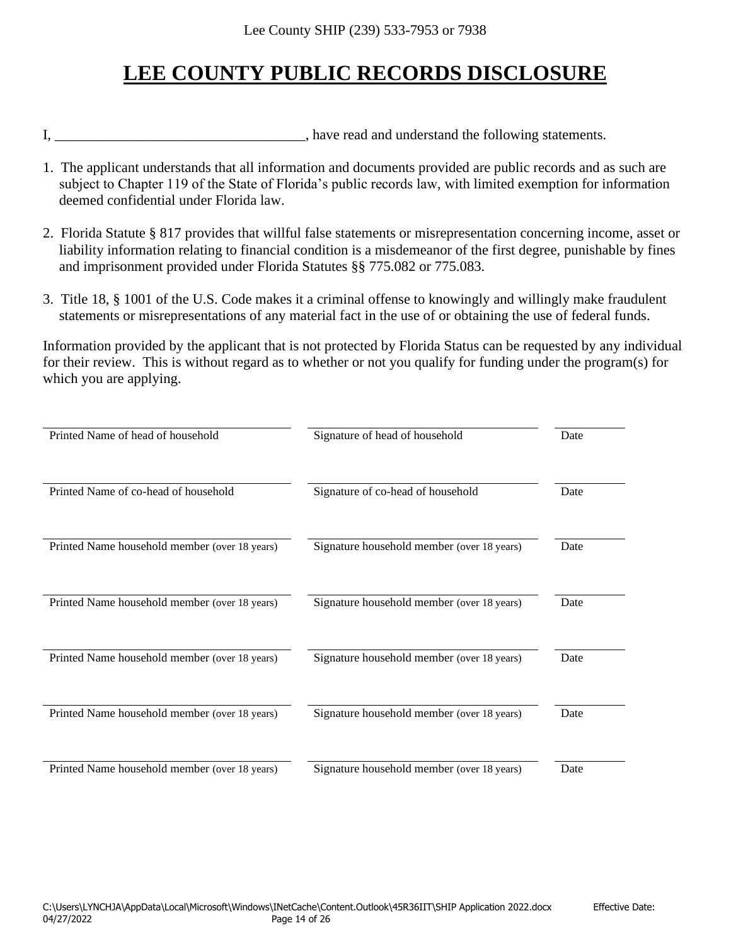# **LEE COUNTY PUBLIC RECORDS DISCLOSURE**

I, \_\_\_\_\_\_\_\_\_\_\_\_\_\_\_\_\_\_\_\_\_\_\_\_\_\_\_\_\_\_\_\_\_\_, have read and understand the following statements.

- 1. The applicant understands that all information and documents provided are public records and as such are subject to Chapter 119 of the State of Florida's public records law, with limited exemption for information deemed confidential under Florida law.
- 2. Florida Statute § 817 provides that willful false statements or misrepresentation concerning income, asset or liability information relating to financial condition is a misdemeanor of the first degree, punishable by fines and imprisonment provided under Florida Statutes §§ 775.082 or 775.083.
- 3. Title 18, § 1001 of the U.S. Code makes it a criminal offense to knowingly and willingly make fraudulent statements or misrepresentations of any material fact in the use of or obtaining the use of federal funds.

Information provided by the applicant that is not protected by Florida Status can be requested by any individual for their review. This is without regard as to whether or not you qualify for funding under the program(s) for which you are applying.

| Printed Name of head of household             | Signature of head of household             | Date |
|-----------------------------------------------|--------------------------------------------|------|
| Printed Name of co-head of household          | Signature of co-head of household          | Date |
| Printed Name household member (over 18 years) | Signature household member (over 18 years) | Date |
| Printed Name household member (over 18 years) | Signature household member (over 18 years) | Date |
| Printed Name household member (over 18 years) | Signature household member (over 18 years) | Date |
| Printed Name household member (over 18 years) | Signature household member (over 18 years) | Date |
| Printed Name household member (over 18 years) | Signature household member (over 18 years) | Date |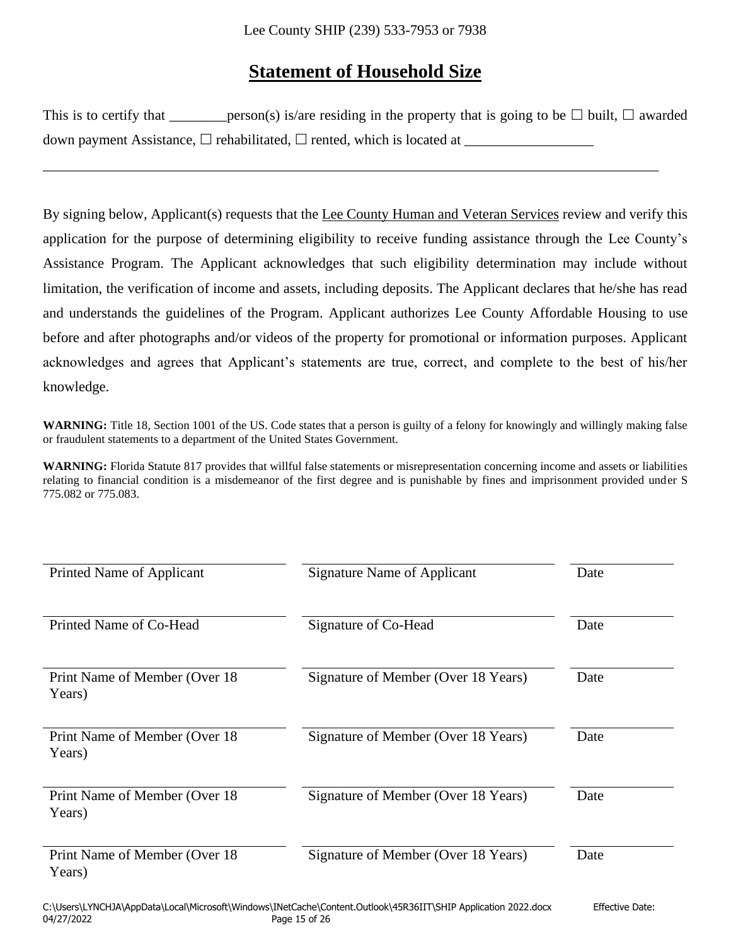# **Statement of Household Size**

| This is to certify that | _person(s) is/are residing in the property that is going to be $\Box$ built, $\Box$ awarded |
|-------------------------|---------------------------------------------------------------------------------------------|
|                         | down payment Assistance, $\Box$ rehabilitated, $\Box$ rented, which is located at           |

\_\_\_\_\_\_\_\_\_\_\_\_\_\_\_\_\_\_\_\_\_\_\_\_\_\_\_\_\_\_\_\_\_\_\_\_\_\_\_\_\_\_\_\_\_\_\_\_\_\_\_\_\_\_\_\_\_\_\_\_\_\_\_\_\_\_\_\_\_\_\_\_\_\_\_\_\_\_\_\_\_\_\_\_\_\_

By signing below, Applicant(s) requests that the Lee County Human and Veteran Services review and verify this application for the purpose of determining eligibility to receive funding assistance through the Lee County's Assistance Program. The Applicant acknowledges that such eligibility determination may include without limitation, the verification of income and assets, including deposits. The Applicant declares that he/she has read and understands the guidelines of the Program. Applicant authorizes Lee County Affordable Housing to use before and after photographs and/or videos of the property for promotional or information purposes. Applicant acknowledges and agrees that Applicant's statements are true, correct, and complete to the best of his/her knowledge.

WARNING: Title 18, Section 1001 of the US. Code states that a person is guilty of a felony for knowingly and willingly making false or fraudulent statements to a department of the United States Government.

| Printed Name of Applicant                | Signature Name of Applicant         | Date |
|------------------------------------------|-------------------------------------|------|
| Printed Name of Co-Head                  | Signature of Co-Head                | Date |
| Print Name of Member (Over 18)<br>Years) | Signature of Member (Over 18 Years) | Date |
| Print Name of Member (Over 18)<br>Years) | Signature of Member (Over 18 Years) | Date |
| Print Name of Member (Over 18)<br>Years) | Signature of Member (Over 18 Years) | Date |
| Print Name of Member (Over 18)<br>Years) | Signature of Member (Over 18 Years) | Date |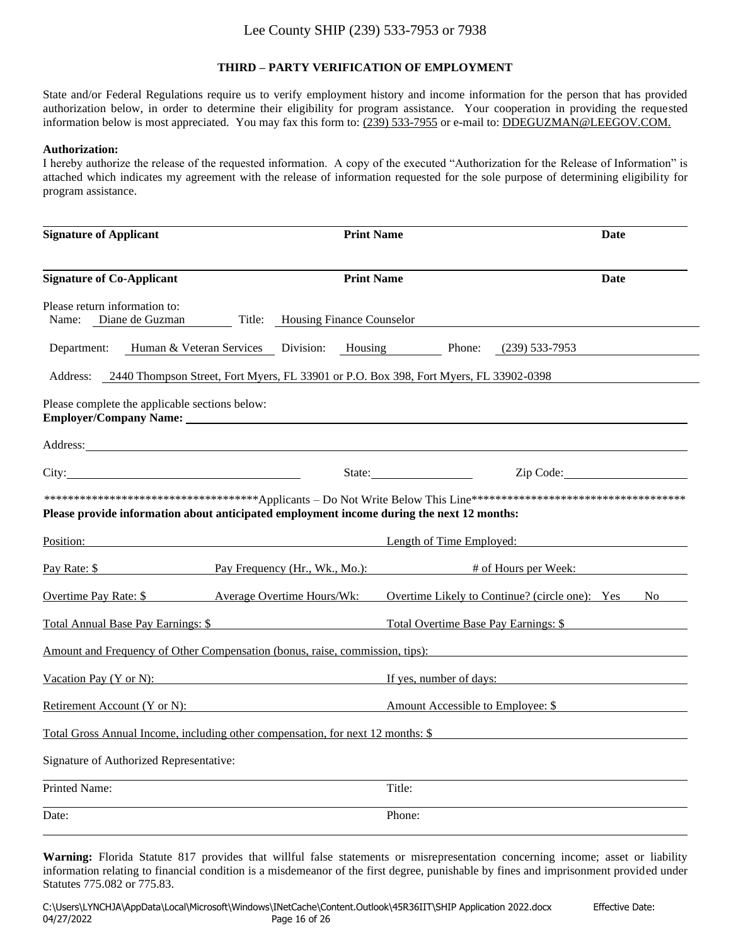#### **THIRD – PARTY VERIFICATION OF EMPLOYMENT**

State and/or Federal Regulations require us to verify employment history and income information for the person that has provided authorization below, in order to determine their eligibility for program assistance. Your cooperation in providing the requested information below is most appreciated. You may fax this form to: (239) 533-7955 or e-mail to: DDEGUZMAN@LEEGOV.COM.

#### **Authorization:**

I hereby authorize the release of the requested information. A copy of the executed "Authorization for the Release of Information" is attached which indicates my agreement with the release of information requested for the sole purpose of determining eligibility for program assistance.

| <b>Signature of Applicant</b>                                                                     | <b>Print Name</b>                          | Date                                                  |
|---------------------------------------------------------------------------------------------------|--------------------------------------------|-------------------------------------------------------|
| <b>Signature of Co-Applicant</b>                                                                  | <b>Print Name</b>                          | <b>Date</b>                                           |
| Please return information to:<br>Name: Diane de Guzman                                            | Title: Housing Finance Counselor           |                                                       |
| Department:                                                                                       | Human & Veteran Services Division: Housing | Phone:<br>(239) 533-7953                              |
| 2440 Thompson Street, Fort Myers, FL 33901 or P.O. Box 398, Fort Myers, FL 33902-0398<br>Address: |                                            |                                                       |
| Please complete the applicable sections below:                                                    |                                            |                                                       |
| Address:                                                                                          |                                            |                                                       |
| City: City:                                                                                       | State:                                     | Zip Code:                                             |
| Please provide information about anticipated employment income during the next 12 months:         |                                            |                                                       |
| Position:                                                                                         |                                            | Length of Time Employed:                              |
| Pay Rate: \$ Pay Frequency (Hr., Wk., Mo.): # of Hours per Week:                                  |                                            |                                                       |
| <b>Average Overtime Hours/Wk:</b><br>Overtime Pay Rate: \$                                        |                                            | Overtime Likely to Continue? (circle one): Yes<br>No. |
| Total Annual Base Pay Earnings: \$                                                                |                                            | Total Overtime Base Pay Earnings: \$                  |
| Amount and Frequency of Other Compensation (bonus, raise, commission, tips):                      |                                            |                                                       |
| Vacation Pay (Y or N):                                                                            |                                            | If yes, number of days:                               |
| <b>Retirement Account (Y or N):</b>                                                               |                                            | Amount Accessible to Employee: \$                     |
| Total Gross Annual Income, including other compensation, for next 12 months: \$                   |                                            |                                                       |
| Signature of Authorized Representative:                                                           |                                            |                                                       |
| Printed Name:                                                                                     | Title:                                     |                                                       |
| Date:                                                                                             | Phone:                                     |                                                       |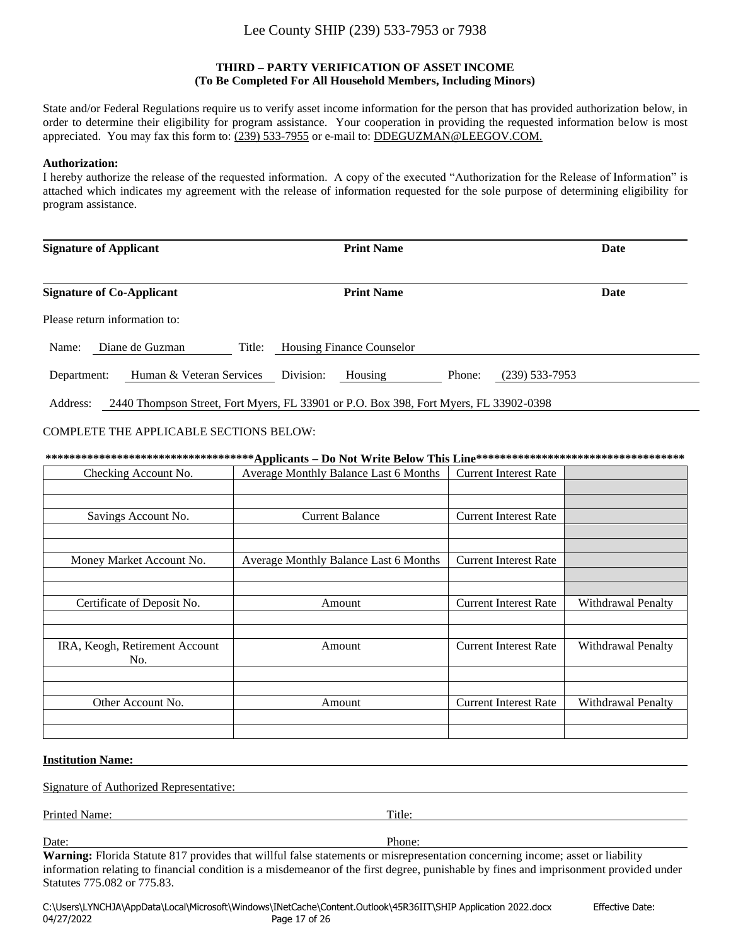#### **THIRD – PARTY VERIFICATION OF ASSET INCOME (To Be Completed For All Household Members, Including Minors)**

State and/or Federal Regulations require us to verify asset income information for the person that has provided authorization below, in order to determine their eligibility for program assistance. Your cooperation in providing the requested information below is most appreciated. You may fax this form to: (239) 533-7955 or e-mail to: DDEGUZMAN@LEEGOV.COM.

#### **Authorization:**

I hereby authorize the release of the requested information. A copy of the executed "Authorization for the Release of Information" is attached which indicates my agreement with the release of information requested for the sole purpose of determining eligibility for program assistance.

| <b>Signature of Applicant</b>           | <b>Print Name</b>                                                                     | Date             |
|-----------------------------------------|---------------------------------------------------------------------------------------|------------------|
| <b>Signature of Co-Applicant</b>        | <b>Print Name</b>                                                                     | Date             |
| Please return information to:           |                                                                                       |                  |
| Diane de Guzman<br>Name:<br>Title:      | <b>Housing Finance Counselor</b>                                                      |                  |
| Human & Veteran Services<br>Department: | Division:<br>Housing<br>Phone:                                                        | $(239)$ 533-7953 |
| Address:                                | 2440 Thompson Street, Fort Myers, FL 33901 or P.O. Box 398, Fort Myers, FL 33902-0398 |                  |

#### COMPLETE THE APPLICABLE SECTIONS BELOW:

|                                       | ************************************Applicants – Do Not Write Below This Line*********************************** |                              |                    |  |  |
|---------------------------------------|------------------------------------------------------------------------------------------------------------------|------------------------------|--------------------|--|--|
| Checking Account No.                  | Average Monthly Balance Last 6 Months                                                                            | <b>Current Interest Rate</b> |                    |  |  |
|                                       |                                                                                                                  |                              |                    |  |  |
| Savings Account No.                   | <b>Current Balance</b>                                                                                           | <b>Current Interest Rate</b> |                    |  |  |
|                                       |                                                                                                                  |                              |                    |  |  |
| Money Market Account No.              | Average Monthly Balance Last 6 Months                                                                            | <b>Current Interest Rate</b> |                    |  |  |
|                                       |                                                                                                                  |                              |                    |  |  |
| Certificate of Deposit No.            | Amount                                                                                                           | <b>Current Interest Rate</b> | Withdrawal Penalty |  |  |
|                                       |                                                                                                                  |                              |                    |  |  |
| IRA, Keogh, Retirement Account<br>No. | Amount                                                                                                           | <b>Current Interest Rate</b> | Withdrawal Penalty |  |  |
|                                       |                                                                                                                  |                              |                    |  |  |
| Other Account No.                     | Amount                                                                                                           | <b>Current Interest Rate</b> | Withdrawal Penalty |  |  |
|                                       |                                                                                                                  |                              |                    |  |  |
|                                       |                                                                                                                  |                              |                    |  |  |

#### **Institution Name:**

Signature of Authorized Representative:

Printed Name: Title:

Date: Phone: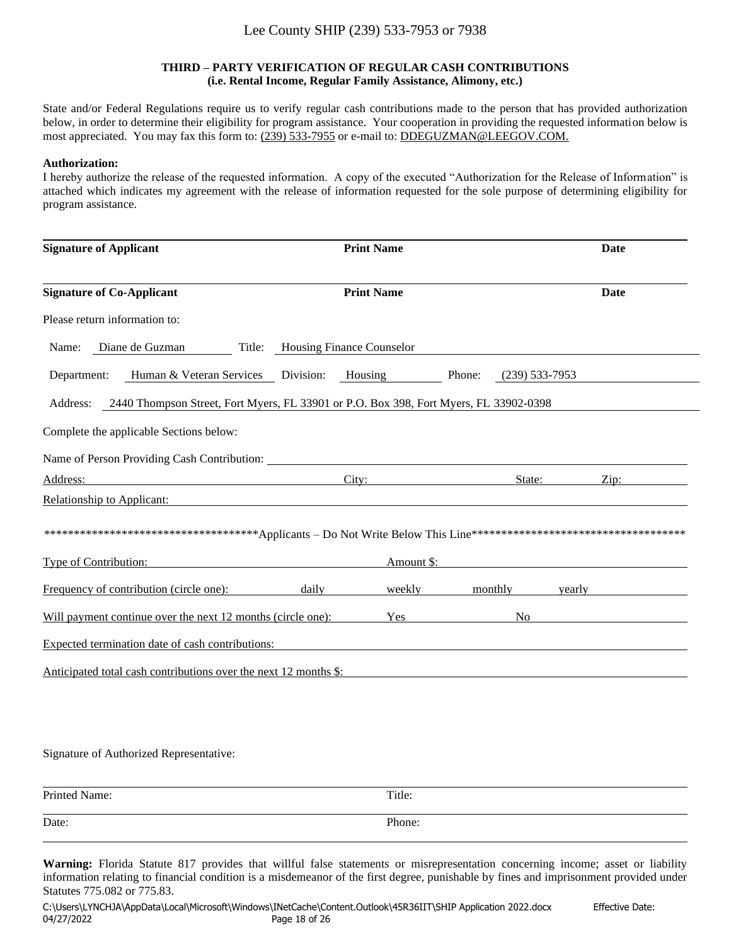#### **THIRD – PARTY VERIFICATION OF REGULAR CASH CONTRIBUTIONS (i.e. Rental Income, Regular Family Assistance, Alimony, etc.)**

State and/or Federal Regulations require us to verify regular cash contributions made to the person that has provided authorization below, in order to determine their eligibility for program assistance. Your cooperation in providing the requested information below is most appreciated. You may fax this form to: (239) 533-7955 or e-mail to: DDEGUZMAN@LEEGOV.COM.

#### **Authorization:**

I hereby authorize the release of the requested information. A copy of the executed "Authorization for the Release of Information" is attached which indicates my agreement with the release of information requested for the sole purpose of determining eligibility for program assistance.

| <b>Signature of Applicant</b>                                                                                                    |                                                                                                                                                                                                                                      | <b>Print Name</b> |        |                | Date                                                     |
|----------------------------------------------------------------------------------------------------------------------------------|--------------------------------------------------------------------------------------------------------------------------------------------------------------------------------------------------------------------------------------|-------------------|--------|----------------|----------------------------------------------------------|
| <b>Signature of Co-Applicant</b>                                                                                                 |                                                                                                                                                                                                                                      | <b>Print Name</b> |        |                | Date                                                     |
| Please return information to:                                                                                                    |                                                                                                                                                                                                                                      |                   |        |                |                                                          |
| Diane de Guzman<br>Name:                                                                                                         | Title: Housing Finance Counselor                                                                                                                                                                                                     |                   |        |                |                                                          |
| Human & Veteran Services<br>Department:                                                                                          | Division:                                                                                                                                                                                                                            | Housing           | Phone: | (239) 533-7953 |                                                          |
| 2440 Thompson Street, Fort Myers, FL 33901 or P.O. Box 398, Fort Myers, FL 33902-0398<br>Address:                                |                                                                                                                                                                                                                                      |                   |        |                |                                                          |
| Complete the applicable Sections below:                                                                                          |                                                                                                                                                                                                                                      |                   |        |                |                                                          |
| Name of Person Providing Cash Contribution:                                                                                      |                                                                                                                                                                                                                                      |                   |        |                |                                                          |
| Address:<br><u> 1980 - Johann Barn, mars eta bat erroman erroman erroman erroman erroman erroman erroman erroman erroman err</u> |                                                                                                                                                                                                                                      | City:             |        | State:         | Zip:                                                     |
| Relationship to Applicant:                                                                                                       | <u>and the state of the state of the state of the state of the state of the state of the state of the state of the state of the state of the state of the state of the state of the state of the state of the state of the state</u> |                   |        |                |                                                          |
|                                                                                                                                  |                                                                                                                                                                                                                                      |                   |        |                |                                                          |
| <b>Type of Contribution:</b>                                                                                                     |                                                                                                                                                                                                                                      | Amount \$:        |        |                | <u> 1980 - Jan Stein Stein, fransk politik (f. 1980)</u> |
| Frequency of contribution (circle one):                                                                                          | daily                                                                                                                                                                                                                                | weekly            |        | monthly        | yearly                                                   |
| Will payment continue over the next 12 months (circle one):                                                                      |                                                                                                                                                                                                                                      | Yes               |        | No.            |                                                          |
| Expected termination date of cash contributions:                                                                                 |                                                                                                                                                                                                                                      |                   |        |                |                                                          |
| Anticipated total cash contributions over the next 12 months \$:                                                                 |                                                                                                                                                                                                                                      |                   |        |                |                                                          |
|                                                                                                                                  |                                                                                                                                                                                                                                      |                   |        |                |                                                          |

#### Signature of Authorized Representative:

| Printed Name: | Title: |
|---------------|--------|
| Date:         | Phone: |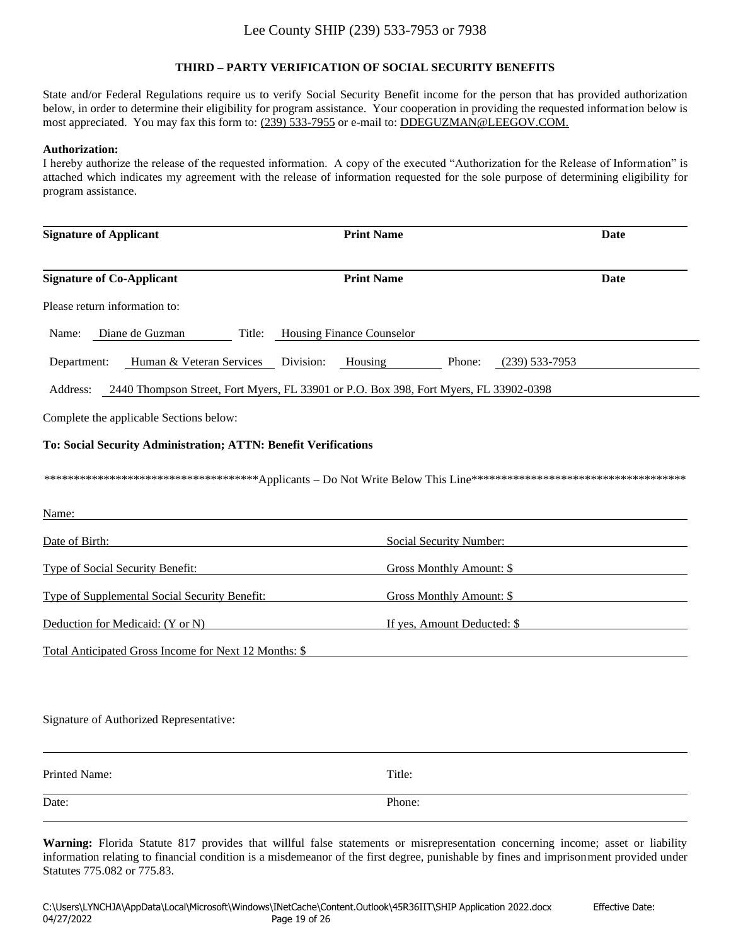#### **THIRD – PARTY VERIFICATION OF SOCIAL SECURITY BENEFITS**

State and/or Federal Regulations require us to verify Social Security Benefit income for the person that has provided authorization below, in order to determine their eligibility for program assistance. Your cooperation in providing the requested information below is most appreciated. You may fax this form to: (239) 533-7955 or e-mail to: DDEGUZMAN@LEEGOV.COM.

#### **Authorization:**

I hereby authorize the release of the requested information. A copy of the executed "Authorization for the Release of Information" is attached which indicates my agreement with the release of information requested for the sole purpose of determining eligibility for program assistance.

| <b>Signature of Applicant</b>                                   | <b>Print Name</b>                                                                     | Date               |
|-----------------------------------------------------------------|---------------------------------------------------------------------------------------|--------------------|
| <b>Signature of Co-Applicant</b>                                | <b>Print Name</b>                                                                     | Date               |
| Please return information to:                                   |                                                                                       |                    |
| Diane de Guzman<br>Title:<br>Name:                              | Housing Finance Counselor                                                             |                    |
| Human & Veteran Services Division:<br>Department:               | Housing<br>Phone:                                                                     | $(239) 533 - 7953$ |
| Address:                                                        | 2440 Thompson Street, Fort Myers, FL 33901 or P.O. Box 398, Fort Myers, FL 33902-0398 |                    |
| Complete the applicable Sections below:                         |                                                                                       |                    |
| To: Social Security Administration; ATTN: Benefit Verifications |                                                                                       |                    |
|                                                                 |                                                                                       |                    |
| Name:                                                           |                                                                                       |                    |
| Date of Birth:                                                  | Social Security Number:                                                               |                    |
| <b>Type of Social Security Benefit:</b>                         | <b>Gross Monthly Amount: \$</b>                                                       |                    |
| Type of Supplemental Social Security Benefit:                   | <b>Gross Monthly Amount: \$</b>                                                       |                    |
| Deduction for Medicaid: (Y or N)                                | If yes, Amount Deducted: \$                                                           |                    |
| Total Anticipated Gross Income for Next 12 Months: \$           |                                                                                       |                    |
|                                                                 |                                                                                       |                    |
|                                                                 |                                                                                       |                    |

Signature of Authorized Representative:

Printed Name: Title: Date: Phone: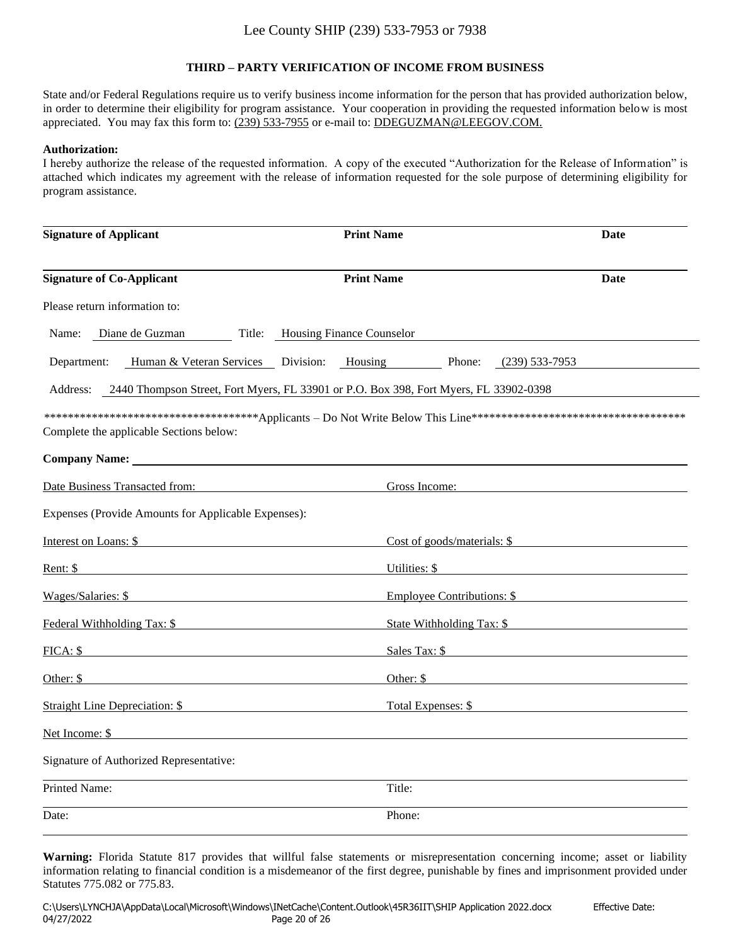#### **THIRD – PARTY VERIFICATION OF INCOME FROM BUSINESS**

State and/or Federal Regulations require us to verify business income information for the person that has provided authorization below, in order to determine their eligibility for program assistance. Your cooperation in providing the requested information below is most appreciated. You may fax this form to: (239) 533-7955 or e-mail to: DDEGUZMAN@LEEGOV.COM.

#### **Authorization:**

I hereby authorize the release of the requested information. A copy of the executed "Authorization for the Release of Information" is attached which indicates my agreement with the release of information requested for the sole purpose of determining eligibility for program assistance.

| <b>Signature of Applicant</b>                                                                                                            | <b>Print Name</b>                                                                     | Date                                                                                                                 |
|------------------------------------------------------------------------------------------------------------------------------------------|---------------------------------------------------------------------------------------|----------------------------------------------------------------------------------------------------------------------|
| <b>Signature of Co-Applicant</b>                                                                                                         | <b>Print Name</b>                                                                     | Date                                                                                                                 |
| Please return information to:                                                                                                            |                                                                                       |                                                                                                                      |
| Diane de Guzman<br>Name:                                                                                                                 | Title: Housing Finance Counselor                                                      |                                                                                                                      |
| Department:                                                                                                                              | Human & Veteran Services Division: Housing Phone:                                     | (239) 533-7953                                                                                                       |
| Address:                                                                                                                                 | 2440 Thompson Street, Fort Myers, FL 33901 or P.O. Box 398, Fort Myers, FL 33902-0398 |                                                                                                                      |
| Complete the applicable Sections below:                                                                                                  |                                                                                       |                                                                                                                      |
| Company Name: Name:                                                                                                                      |                                                                                       |                                                                                                                      |
| Date Business Transacted from:                                                                                                           | Gross Income:                                                                         |                                                                                                                      |
| Expenses (Provide Amounts for Applicable Expenses):                                                                                      |                                                                                       |                                                                                                                      |
| Interest on Loans: \$<br>the contract of the contract of the contract of the contract of the contract of the contract of the contract of | Cost of goods/materials: \$                                                           |                                                                                                                      |
| Rent: \$                                                                                                                                 | Utilities: \$                                                                         |                                                                                                                      |
| Wages/Salaries: \$                                                                                                                       |                                                                                       | Employee Contributions: \$                                                                                           |
| Federal Withholding Tax: \$                                                                                                              | State Withholding Tax: \$                                                             |                                                                                                                      |
| FICA: \$                                                                                                                                 |                                                                                       | Sales Tax: \$                                                                                                        |
| Other: \$                                                                                                                                | Other: \$                                                                             | <u> 1980 - Jan Stein Stein Stein Stein Stein Stein Stein Stein Stein Stein Stein Stein Stein Stein Stein Stein S</u> |
| <b>Straight Line Depreciation:</b> \$                                                                                                    |                                                                                       | Total Expenses: \$                                                                                                   |
| Net Income: \$                                                                                                                           |                                                                                       |                                                                                                                      |
| Signature of Authorized Representative:                                                                                                  |                                                                                       |                                                                                                                      |
| Printed Name:                                                                                                                            | Title:                                                                                |                                                                                                                      |
| Date:                                                                                                                                    | Phone:                                                                                |                                                                                                                      |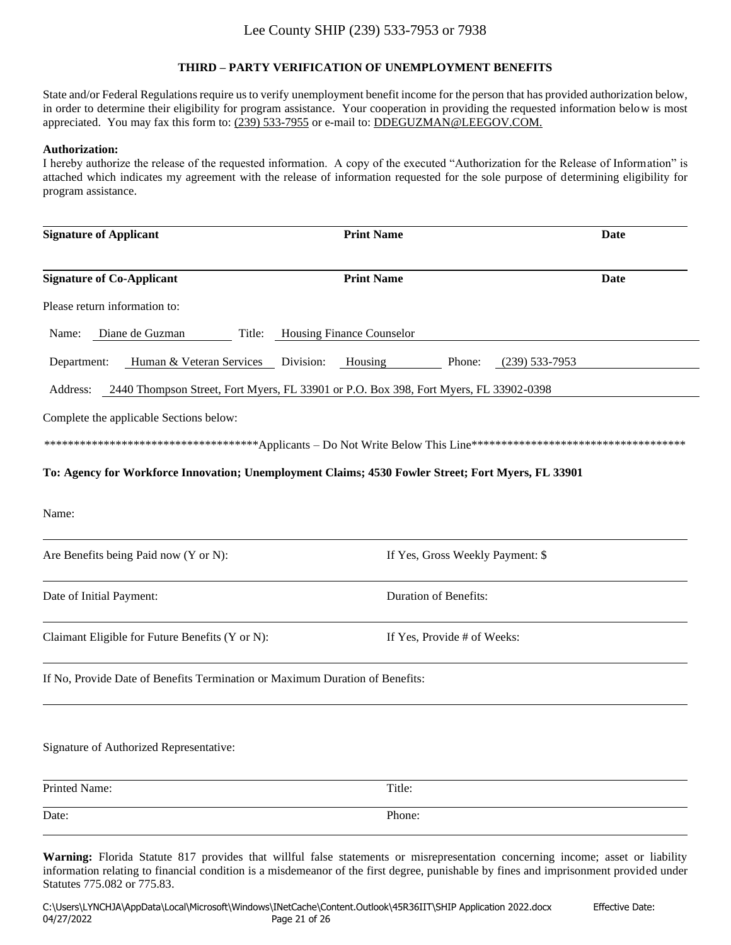### **THIRD – PARTY VERIFICATION OF UNEMPLOYMENT BENEFITS**

State and/or Federal Regulations require us to verify unemployment benefit income for the person that has provided authorization below, in order to determine their eligibility for program assistance. Your cooperation in providing the requested information below is most appreciated. You may fax this form to: (239) 533-7955 or e-mail to: DDEGUZMAN@LEEGOV.COM.

#### **Authorization:**

I hereby authorize the release of the requested information. A copy of the executed "Authorization for the Release of Information" is attached which indicates my agreement with the release of information requested for the sole purpose of determining eligibility for program assistance.

| <b>Signature of Applicant</b>                                                                      | <b>Print Name</b>                                                                     | Date             |
|----------------------------------------------------------------------------------------------------|---------------------------------------------------------------------------------------|------------------|
| <b>Signature of Co-Applicant</b>                                                                   | <b>Print Name</b>                                                                     | Date             |
| Please return information to:                                                                      |                                                                                       |                  |
| Diane de Guzman<br>Title:<br>Name:                                                                 | Housing Finance Counselor                                                             |                  |
| Human & Veteran Services Division:<br>Department:                                                  | Housing<br>Phone:                                                                     | $(239)$ 533-7953 |
| Address:                                                                                           | 2440 Thompson Street, Fort Myers, FL 33901 or P.O. Box 398, Fort Myers, FL 33902-0398 |                  |
| Complete the applicable Sections below:                                                            |                                                                                       |                  |
|                                                                                                    |                                                                                       |                  |
| To: Agency for Workforce Innovation; Unemployment Claims; 4530 Fowler Street; Fort Myers, FL 33901 |                                                                                       |                  |
| Name:                                                                                              |                                                                                       |                  |
| Are Benefits being Paid now (Y or N):                                                              | If Yes, Gross Weekly Payment: \$                                                      |                  |
| Date of Initial Payment:                                                                           | Duration of Benefits:                                                                 |                  |
| Claimant Eligible for Future Benefits (Y or N):                                                    | If Yes, Provide # of Weeks:                                                           |                  |
| If No, Provide Date of Benefits Termination or Maximum Duration of Benefits:                       |                                                                                       |                  |
| Signature of Authorized Representative:                                                            |                                                                                       |                  |
| Printed Name:                                                                                      | Title:                                                                                |                  |
| Date:                                                                                              | Phone:                                                                                |                  |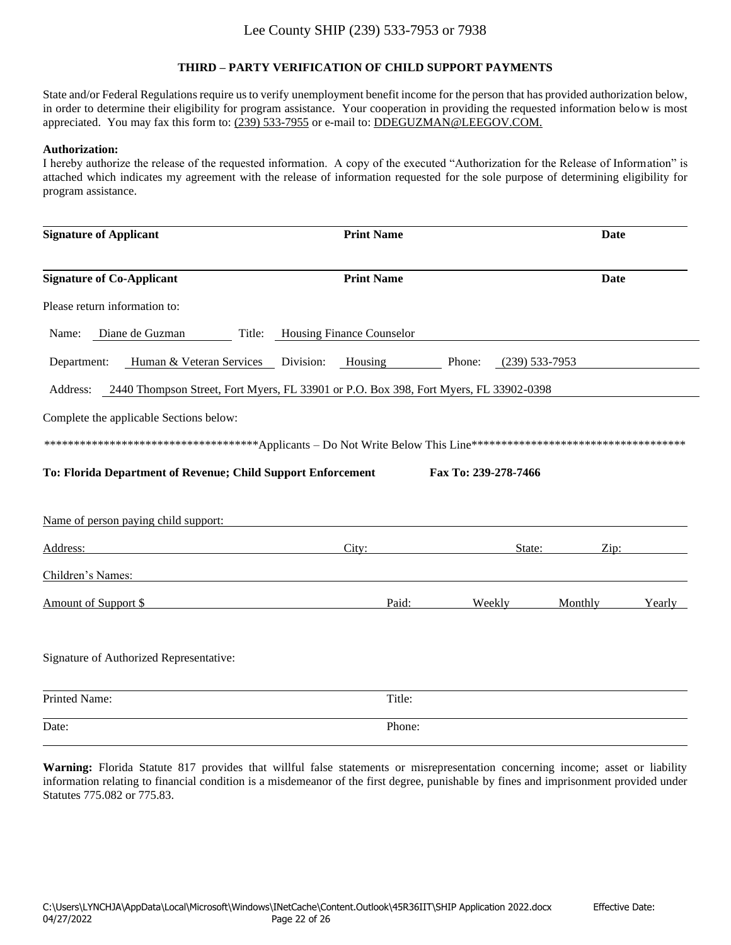### **THIRD – PARTY VERIFICATION OF CHILD SUPPORT PAYMENTS**

State and/or Federal Regulations require us to verify unemployment benefit income for the person that has provided authorization below, in order to determine their eligibility for program assistance. Your cooperation in providing the requested information below is most appreciated. You may fax this form to: (239) 533-7955 or e-mail to: DDEGUZMAN@LEEGOV.COM.

#### **Authorization:**

I hereby authorize the release of the requested information. A copy of the executed "Authorization for the Release of Information" is attached which indicates my agreement with the release of information requested for the sole purpose of determining eligibility for program assistance.

| <b>Signature of Applicant</b>                                | <b>Print Name</b>                                                                     |                      | Date             |        |
|--------------------------------------------------------------|---------------------------------------------------------------------------------------|----------------------|------------------|--------|
| <b>Signature of Co-Applicant</b>                             | <b>Print Name</b>                                                                     |                      | Date             |        |
| Please return information to:                                |                                                                                       |                      |                  |        |
| Diane de Guzman<br>Title:<br>Name:                           | <b>Housing Finance Counselor</b>                                                      |                      |                  |        |
| Human & Veteran Services Division:<br>Department:            | Housing                                                                               | Phone:               | $(239)$ 533-7953 |        |
| Address:                                                     | 2440 Thompson Street, Fort Myers, FL 33901 or P.O. Box 398, Fort Myers, FL 33902-0398 |                      |                  |        |
| Complete the applicable Sections below:                      |                                                                                       |                      |                  |        |
|                                                              |                                                                                       |                      |                  |        |
| To: Florida Department of Revenue; Child Support Enforcement |                                                                                       | Fax To: 239-278-7466 |                  |        |
| Name of person paying child support:                         |                                                                                       |                      |                  |        |
| Address:                                                     | City:                                                                                 | State:               | Zip:             |        |
| Children's Names:                                            |                                                                                       |                      |                  |        |
| Amount of Support \$                                         | Paid:                                                                                 | Weekly               | Monthly          | Yearly |
| Signature of Authorized Representative:                      |                                                                                       |                      |                  |        |
| Printed Name:                                                | Title:                                                                                |                      |                  |        |
| Date:                                                        | Phone:                                                                                |                      |                  |        |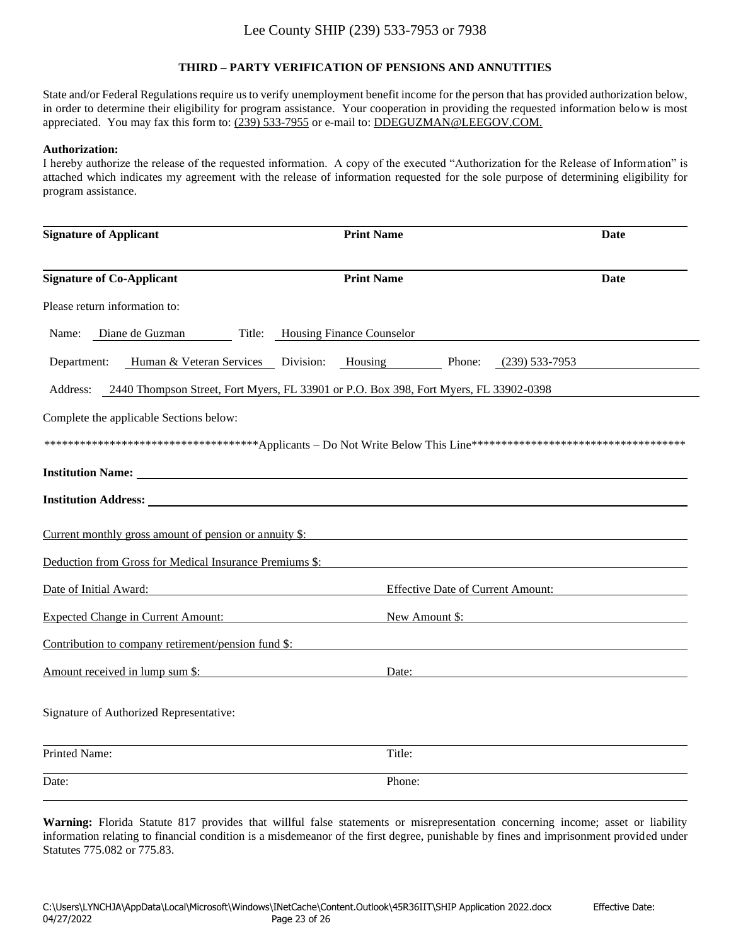### **THIRD – PARTY VERIFICATION OF PENSIONS AND ANNUTITIES**

State and/or Federal Regulations require us to verify unemployment benefit income for the person that has provided authorization below, in order to determine their eligibility for program assistance. Your cooperation in providing the requested information below is most appreciated. You may fax this form to: (239) 533-7955 or e-mail to: DDEGUZMAN@LEEGOV.COM.

#### **Authorization:**

I hereby authorize the release of the requested information. A copy of the executed "Authorization for the Release of Information" is attached which indicates my agreement with the release of information requested for the sole purpose of determining eligibility for program assistance.

| <b>Signature of Applicant</b>                                                                                                                                                                                                             | <b>Print Name</b>                                                                     | Date                                     |
|-------------------------------------------------------------------------------------------------------------------------------------------------------------------------------------------------------------------------------------------|---------------------------------------------------------------------------------------|------------------------------------------|
| <b>Signature of Co-Applicant</b>                                                                                                                                                                                                          | <b>Print Name</b>                                                                     | Date                                     |
| Please return information to:                                                                                                                                                                                                             |                                                                                       |                                          |
| Diane de Guzman<br>Name:                                                                                                                                                                                                                  | Title: Housing Finance Counselor                                                      |                                          |
| Department:                                                                                                                                                                                                                               | Human & Veteran Services Division: Housing<br>Phone:                                  | $(239)$ 533-7953                         |
| Address:                                                                                                                                                                                                                                  | 2440 Thompson Street, Fort Myers, FL 33901 or P.O. Box 398, Fort Myers, FL 33902-0398 |                                          |
| Complete the applicable Sections below:                                                                                                                                                                                                   |                                                                                       |                                          |
|                                                                                                                                                                                                                                           |                                                                                       |                                          |
| Institution Name: 1988 and 1988 and 1988 and 1988 and 1988 and 1988 and 1988 and 1988 and 1988 and 1988 and 1988 and 1988 and 1988 and 1988 and 1988 and 1988 and 1988 and 1988 and 1988 and 1988 and 1988 and 1988 and 1988 a            |                                                                                       |                                          |
| <b>Institution Address:</b> <u>Contract Contract Contract Contract Contract Contract Contract Contract Contract Contract Contract Contract Contract Contract Contract Contract Contract Contract Contract Contract Contract Contract </u> |                                                                                       |                                          |
| Current monthly gross amount of pension or annuity \$:                                                                                                                                                                                    |                                                                                       |                                          |
| Deduction from Gross for Medical Insurance Premiums \$:                                                                                                                                                                                   |                                                                                       |                                          |
| Date of Initial Award:                                                                                                                                                                                                                    |                                                                                       | <b>Effective Date of Current Amount:</b> |
| <b>Expected Change in Current Amount:</b>                                                                                                                                                                                                 | New Amount \$:                                                                        |                                          |
| Contribution to company retirement/pension fund \$:                                                                                                                                                                                       |                                                                                       |                                          |
| Amount received in lump sum \$:                                                                                                                                                                                                           | Date:                                                                                 |                                          |
| Signature of Authorized Representative:                                                                                                                                                                                                   |                                                                                       |                                          |
| <b>Printed Name:</b>                                                                                                                                                                                                                      | Title:                                                                                |                                          |
| Date:                                                                                                                                                                                                                                     | Phone:                                                                                |                                          |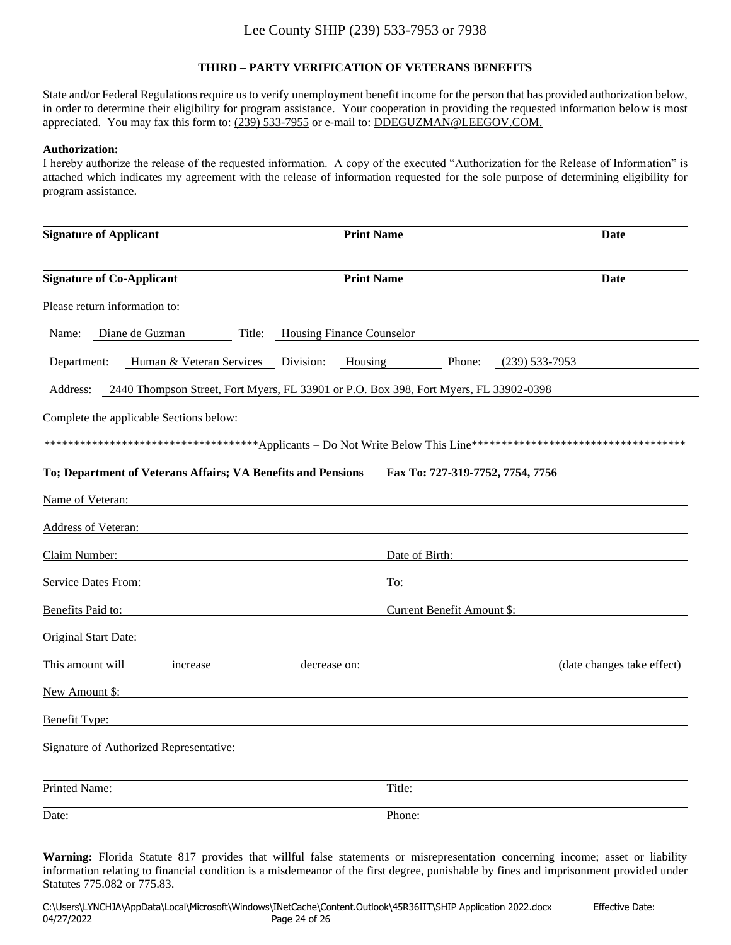### **THIRD – PARTY VERIFICATION OF VETERANS BENEFITS**

State and/or Federal Regulations require us to verify unemployment benefit income for the person that has provided authorization below, in order to determine their eligibility for program assistance. Your cooperation in providing the requested information below is most appreciated. You may fax this form to: (239) 533-7955 or e-mail to: DDEGUZMAN@LEEGOV.COM.

#### **Authorization:**

I hereby authorize the release of the requested information. A copy of the executed "Authorization for the Release of Information" is attached which indicates my agreement with the release of information requested for the sole purpose of determining eligibility for program assistance.

| <b>Signature of Applicant</b>                                                                     | <b>Print Name</b>                |                                  | <b>Date</b>                |
|---------------------------------------------------------------------------------------------------|----------------------------------|----------------------------------|----------------------------|
| <b>Signature of Co-Applicant</b>                                                                  | <b>Print Name</b>                |                                  | Date                       |
| Please return information to:                                                                     |                                  |                                  |                            |
| Diane de Guzman<br>Name:                                                                          | Title: Housing Finance Counselor |                                  |                            |
| Department:<br>Human & Veteran Services Division: Housing Phone:                                  |                                  |                                  | (239) 533-7953             |
| 2440 Thompson Street, Fort Myers, FL 33901 or P.O. Box 398, Fort Myers, FL 33902-0398<br>Address: |                                  |                                  |                            |
| Complete the applicable Sections below:                                                           |                                  |                                  |                            |
|                                                                                                   |                                  |                                  |                            |
| To; Department of Veterans Affairs; VA Benefits and Pensions                                      |                                  | Fax To: 727-319-7752, 7754, 7756 |                            |
| Name of Veteran:                                                                                  |                                  |                                  |                            |
| <b>Address of Veteran:</b>                                                                        |                                  |                                  |                            |
| Claim Number:                                                                                     |                                  | Date of Birth:                   |                            |
| <b>Service Dates From:</b> Service Dates From:                                                    | To:                              |                                  |                            |
| Benefits Paid to:                                                                                 |                                  | Current Benefit Amount \$:       |                            |
| Original Start Date:                                                                              |                                  |                                  |                            |
| This amount will<br>increase                                                                      | decrease on:                     |                                  | (date changes take effect) |
| New Amount \$:                                                                                    |                                  |                                  |                            |
| Benefit Type:                                                                                     |                                  |                                  |                            |
| Signature of Authorized Representative:                                                           |                                  |                                  |                            |
| Printed Name:                                                                                     | Title:                           |                                  |                            |
| Date:                                                                                             | Phone:                           |                                  |                            |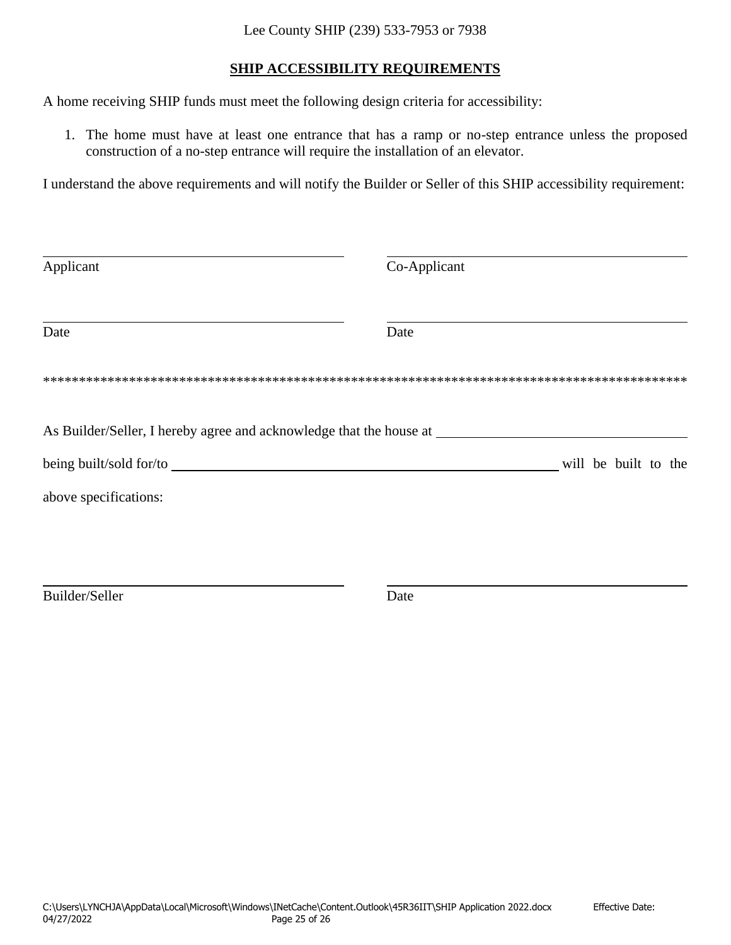### **SHIP ACCESSIBILITY REQUIREMENTS**

A home receiving SHIP funds must meet the following design criteria for accessibility:

1. The home must have at least one entrance that has a ramp or no-step entrance unless the proposed construction of a no-step entrance will require the installation of an elevator.

I understand the above requirements and will notify the Builder or Seller of this SHIP accessibility requirement:

| Applicant                                                           | Co-Applicant         |
|---------------------------------------------------------------------|----------------------|
| Date                                                                | Date                 |
|                                                                     |                      |
| As Builder/Seller, I hereby agree and acknowledge that the house at |                      |
|                                                                     | will be built to the |
| above specifications:                                               |                      |
|                                                                     |                      |
|                                                                     |                      |
| Builder/Seller                                                      | Date                 |